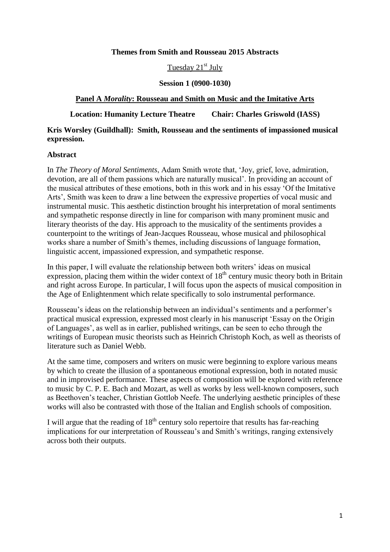#### **Themes from Smith and Rousseau 2015 Abstracts**

#### Tuesday  $21<sup>st</sup>$  July

#### **Session 1 (0900-1030)**

#### **Panel A** *Morality***: Rousseau and Smith on Music and the Imitative Arts**

#### **Location: Humanity Lecture Theatre Chair: Charles Griswold (IASS)**

# **Kris Worsley (Guildhall): Smith, Rousseau and the sentiments of impassioned musical expression.**

#### **Abstract**

In *The Theory of Moral Sentiments*, Adam Smith wrote that, 'Joy, grief, love, admiration, devotion, are all of them passions which are naturally musical'. In providing an account of the musical attributes of these emotions, both in this work and in his essay 'Of the Imitative Arts', Smith was keen to draw a line between the expressive properties of vocal music and instrumental music. This aesthetic distinction brought his interpretation of moral sentiments and sympathetic response directly in line for comparison with many prominent music and literary theorists of the day. His approach to the musicality of the sentiments provides a counterpoint to the writings of Jean-Jacques Rousseau, whose musical and philosophical works share a number of Smith's themes, including discussions of language formation, linguistic accent, impassioned expression, and sympathetic response.

In this paper, I will evaluate the relationship between both writers' ideas on musical expression, placing them within the wider context of  $18<sup>th</sup>$  century music theory both in Britain and right across Europe. In particular, I will focus upon the aspects of musical composition in the Age of Enlightenment which relate specifically to solo instrumental performance.

Rousseau's ideas on the relationship between an individual's sentiments and a performer's practical musical expression, expressed most clearly in his manuscript 'Essay on the Origin of Languages', as well as in earlier, published writings, can be seen to echo through the writings of European music theorists such as Heinrich Christoph Koch, as well as theorists of literature such as Daniel Webb.

At the same time, composers and writers on music were beginning to explore various means by which to create the illusion of a spontaneous emotional expression, both in notated music and in improvised performance. These aspects of composition will be explored with reference to music by C. P. E. Bach and Mozart, as well as works by less well-known composers, such as Beethoven's teacher, Christian Gottlob Neefe. The underlying aesthetic principles of these works will also be contrasted with those of the Italian and English schools of composition.

I will argue that the reading of  $18<sup>th</sup>$  century solo repertoire that results has far-reaching implications for our interpretation of Rousseau's and Smith's writings, ranging extensively across both their outputs.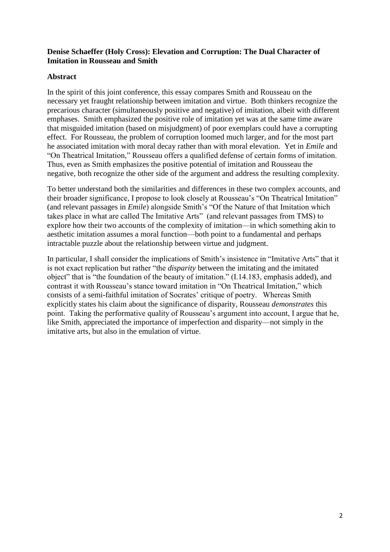### **Denise Schaeffer (Holy Cross): Elevation and Corruption: The Dual Character of Imitation in Rousseau and Smith**

### **Abstract**

In the spirit of this joint conference, this essay compares Smith and Rousseau on the necessary yet fraught relationship between imitation and virtue. Both thinkers recognize the precarious character (simultaneously positive and negative) of imitation, albeit with different emphases. Smith emphasized the positive role of imitation yet was at the same time aware that misguided imitation (based on misjudgment) of poor exemplars could have a corrupting effect. For Rousseau, the problem of corruption loomed much larger, and for the most part he associated imitation with moral decay rather than with moral elevation. Yet in *Emile* and "On Theatrical Imitation," Rousseau offers a qualified defense of certain forms of imitation. Thus, even as Smith emphasizes the positive potential of imitation and Rousseau the negative, both recognize the other side of the argument and address the resulting complexity.

To better understand both the similarities and differences in these two complex accounts, and their broader significance, I propose to look closely at Rousseau's "On Theatrical Imitation" (and relevant passages in *Emile*) alongside Smith's "Of the Nature of that Imitation which takes place in what are called The Imitative Arts" (and relevant passages from TMS) to explore how their two accounts of the complexity of imitation—in which something akin to aesthetic imitation assumes a moral function—both point to a fundamental and perhaps intractable puzzle about the relationship between virtue and judgment.

In particular, I shall consider the implications of Smith's insistence in "Imitative Arts" that it is not exact replication but rather "the *disparity* between the imitating and the imitated object" that is "the foundation of the beauty of imitation." (I.14.183, emphasis added), and contrast it with Rousseau's stance toward imitation in "On Theatrical Imitation," which consists of a semi-faithful imitation of Socrates' critique of poetry. Whereas Smith explicitly states his claim about the significance of disparity, Rousseau *demonstrates* this point. Taking the performative quality of Rousseau's argument into account, I argue that he, like Smith, appreciated the importance of imperfection and disparity—not simply in the imitative arts, but also in the emulation of virtue.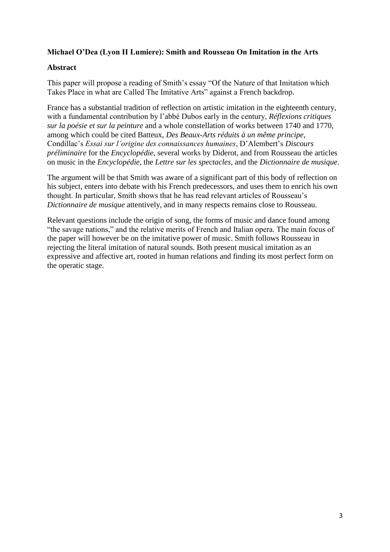# **Michael O'Dea (Lyon II Lumiere): Smith and Rousseau On Imitation in the Arts**

# **Abstract**

This paper will propose a reading of Smith's essay "Of the Nature of that Imitation which Takes Place in what are Called The Imitative Arts" against a French backdrop.

France has a substantial tradition of reflection on artistic imitation in the eighteenth century, with a fundamental contribution by l'abbé Dubos early in the century, *Réflexions critiques sur la poésie et sur la peinture* and a whole constellation of works between 1740 and 1770, among which could be cited Batteux, *Des Beaux-Arts réduits à un même principe*, Condillac's *Essai sur l'origine des connaissances humaines*, D'Alembert's *Discours préliminaire* for the *Encyclopédie*, several works by Diderot, and from Rousseau the articles on music in the *Encyclopédie*, the *Lettre sur les spectacles*, and the *Dictionnaire de musique*.

The argument will be that Smith was aware of a significant part of this body of reflection on his subject, enters into debate with his French predecessors, and uses them to enrich his own thought. In particular, Smith shows that he has read relevant articles of Rousseau's *Dictionnaire de musique* attentively, and in many respects remains close to Rousseau.

Relevant questions include the origin of song, the forms of music and dance found among "the savage nations," and the relative merits of French and Italian opera. The main focus of the paper will however be on the imitative power of music. Smith follows Rousseau in rejecting the literal imitation of natural sounds. Both present musical imitation as an expressive and affective art, rooted in human relations and finding its most perfect form on the operatic stage.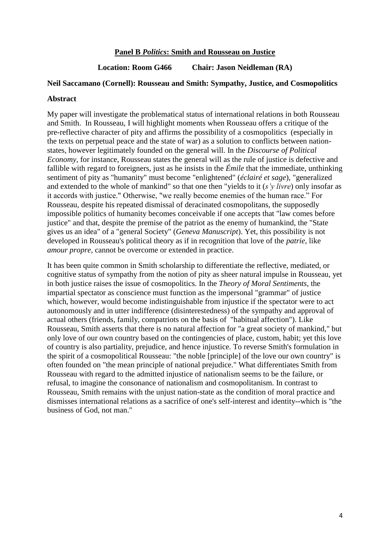#### **Panel B** *Politics***: Smith and Rousseau on Justice**

**Location: Room G466 Chair: Jason Neidleman (RA)**

# **Neil Saccamano (Cornell): Rousseau and Smith: Sympathy, Justice, and Cosmopolitics**

### **Abstract**

My paper will investigate the problematical status of international relations in both Rousseau and Smith. In Rousseau, I will highlight moments when Rousseau offers a critique of the pre-reflective character of pity and affirms the possibility of a cosmopolitics (especially in the texts on perpetual peace and the state of war) as a solution to conflicts between nationstates, however legitimately founded on the general will. In the *Discourse of Political Economy,* for instance, Rousseau states the general will as the rule of justice is defective and fallible with regard to foreigners, just as he insists in the *Émile* that the immediate, unthinking sentiment of pity as "humanity" must become "enlightened" (*éclairé et sage*), "generalized and extended to the whole of mankind" so that one then "yields to it (*s'y livre*) only insofar as it accords with justice." Otherwise, "we really become enemies of the human race." For Rousseau, despite his repeated dismissal of deracinated cosmopolitans, the supposedly impossible politics of humanity becomes conceivable if one accepts that "law comes before justice" and that, despite the premise of the patriot as the enemy of humankind, the "State gives us an idea" of a "general Society" (*Geneva Manuscript*). Yet, this possibility is not developed in Rousseau's political theory as if in recognition that love of the *patrie,* like *amour propre,* cannot be overcome or extended in practice.

It has been quite common in Smith scholarship to differentiate the reflective, mediated, or cognitive status of sympathy from the notion of pity as sheer natural impulse in Rousseau, yet in both justice raises the issue of cosmopolitics. In the *Theory of Moral Sentiments*, the impartial spectator as conscience must function as the impersonal "grammar" of justice which, however, would become indistinguishable from injustice if the spectator were to act autonomously and in utter indifference (disinterestedness) of the sympathy and approval of actual others (friends, family, compatriots on the basis of "habitual affection"). Like Rousseau, Smith asserts that there is no natural affection for "a great society of mankind," but only love of our own country based on the contingencies of place, custom, habit; yet this love of country is also partiality, prejudice, and hence injustice. To reverse Smith's formulation in the spirit of a cosmopolitical Rousseau: "the noble [principle] of the love our own country" is often founded on "the mean principle of national prejudice." What differentiates Smith from Rousseau with regard to the admitted injustice of nationalism seems to be the failure, or refusal, to imagine the consonance of nationalism and cosmopolitanism. In contrast to Rousseau, Smith remains with the unjust nation-state as the condition of moral practice and dismisses international relations as a sacrifice of one's self-interest and identity--which is "the business of God, not man."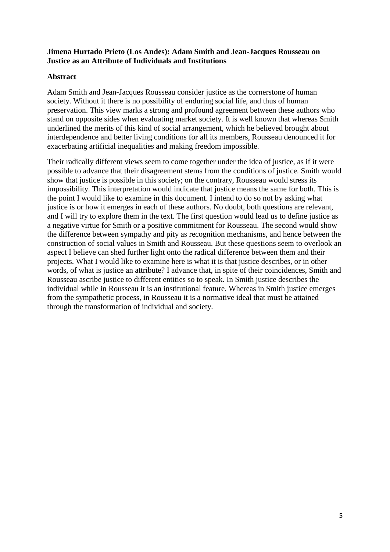### **Jimena Hurtado Prieto (Los Andes): Adam Smith and Jean-Jacques Rousseau on Justice as an Attribute of Individuals and Institutions**

### **Abstract**

Adam Smith and Jean-Jacques Rousseau consider justice as the cornerstone of human society. Without it there is no possibility of enduring social life, and thus of human preservation. This view marks a strong and profound agreement between these authors who stand on opposite sides when evaluating market society. It is well known that whereas Smith underlined the merits of this kind of social arrangement, which he believed brought about interdependence and better living conditions for all its members, Rousseau denounced it for exacerbating artificial inequalities and making freedom impossible.

Their radically different views seem to come together under the idea of justice, as if it were possible to advance that their disagreement stems from the conditions of justice. Smith would show that justice is possible in this society; on the contrary, Rousseau would stress its impossibility. This interpretation would indicate that justice means the same for both. This is the point I would like to examine in this document. I intend to do so not by asking what justice is or how it emerges in each of these authors. No doubt, both questions are relevant, and I will try to explore them in the text. The first question would lead us to define justice as a negative virtue for Smith or a positive commitment for Rousseau. The second would show the difference between sympathy and pity as recognition mechanisms, and hence between the construction of social values in Smith and Rousseau. But these questions seem to overlook an aspect I believe can shed further light onto the radical difference between them and their projects. What I would like to examine here is what it is that justice describes, or in other words, of what is justice an attribute? I advance that, in spite of their coincidences, Smith and Rousseau ascribe justice to different entities so to speak. In Smith justice describes the individual while in Rousseau it is an institutional feature. Whereas in Smith justice emerges from the sympathetic process, in Rousseau it is a normative ideal that must be attained through the transformation of individual and society.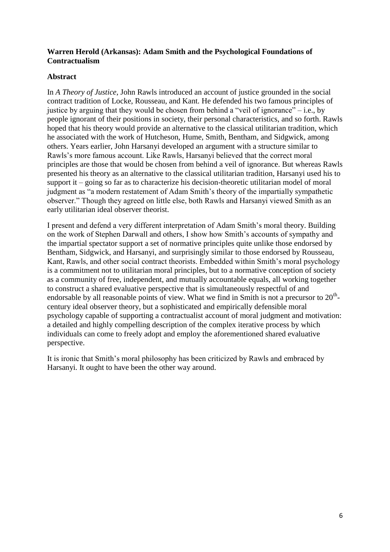### **Warren Herold (Arkansas): Adam Smith and the Psychological Foundations of Contractualism**

### **Abstract**

In *A Theory of Justice*, John Rawls introduced an account of justice grounded in the social contract tradition of Locke, Rousseau, and Kant. He defended his two famous principles of justice by arguing that they would be chosen from behind a "veil of ignorance"  $-$  i.e., by people ignorant of their positions in society, their personal characteristics, and so forth. Rawls hoped that his theory would provide an alternative to the classical utilitarian tradition, which he associated with the work of Hutcheson, Hume, Smith, Bentham, and Sidgwick, among others. Years earlier, John Harsanyi developed an argument with a structure similar to Rawls's more famous account. Like Rawls, Harsanyi believed that the correct moral principles are those that would be chosen from behind a veil of ignorance. But whereas Rawls presented his theory as an alternative to the classical utilitarian tradition, Harsanyi used his to support it – going so far as to characterize his decision-theoretic utilitarian model of moral judgment as "a modern restatement of Adam Smith's theory of the impartially sympathetic observer." Though they agreed on little else, both Rawls and Harsanyi viewed Smith as an early utilitarian ideal observer theorist.

I present and defend a very different interpretation of Adam Smith's moral theory. Building on the work of Stephen Darwall and others, I show how Smith's accounts of sympathy and the impartial spectator support a set of normative principles quite unlike those endorsed by Bentham, Sidgwick, and Harsanyi, and surprisingly similar to those endorsed by Rousseau, Kant, Rawls, and other social contract theorists. Embedded within Smith's moral psychology is a commitment not to utilitarian moral principles, but to a normative conception of society as a community of free, independent, and mutually accountable equals, all working together to construct a shared evaluative perspective that is simultaneously respectful of and endorsable by all reasonable points of view. What we find in Smith is not a precursor to  $20<sup>th</sup>$ century ideal observer theory, but a sophisticated and empirically defensible moral psychology capable of supporting a contractualist account of moral judgment and motivation: a detailed and highly compelling description of the complex iterative process by which individuals can come to freely adopt and employ the aforementioned shared evaluative perspective.

It is ironic that Smith's moral philosophy has been criticized by Rawls and embraced by Harsanyi. It ought to have been the other way around.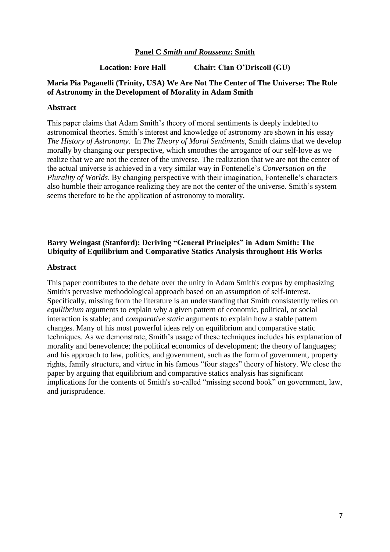#### **Panel C** *Smith and Rousseau***: Smith**

**Location: Fore Hall Chair: Cian O'Driscoll (GU)**

# **Maria Pia Paganelli (Trinity, USA) We Are Not The Center of The Universe: The Role of Astronomy in the Development of Morality in Adam Smith**

### **Abstract**

This paper claims that Adam Smith's theory of moral sentiments is deeply indebted to astronomical theories. Smith's interest and knowledge of astronomy are shown in his essay *The History of Astronomy*. In *The Theory of Moral Sentiments,* Smith claims that we develop morally by changing our perspective, which smoothes the arrogance of our self-love as we realize that we are not the center of the universe. The realization that we are not the center of the actual universe is achieved in a very similar way in Fontenelle's *Conversation on the Plurality of Worlds*. By changing perspective with their imagination, Fontenelle's characters also humble their arrogance realizing they are not the center of the universe. Smith's system seems therefore to be the application of astronomy to morality.

# **Barry Weingast (Stanford): Deriving "General Principles" in Adam Smith: The Ubiquity of Equilibrium and Comparative Statics Analysis throughout His Works**

#### **Abstract**

This paper contributes to the debate over the unity in Adam Smith's corpus by emphasizing Smith's pervasive methodological approach based on an assumption of self-interest. Specifically, missing from the literature is an understanding that Smith consistently relies on *equilibrium* arguments to explain why a given pattern of economic, political, or social interaction is stable; and *comparative static* arguments to explain how a stable pattern changes. Many of his most powerful ideas rely on equilibrium and comparative static techniques. As we demonstrate, Smith's usage of these techniques includes his explanation of morality and benevolence; the political economics of development; the theory of languages; and his approach to law, politics, and government, such as the form of government, property rights, family structure, and virtue in his famous "four stages" theory of history. We close the paper by arguing that equilibrium and comparative statics analysis has significant implications for the contents of Smith's so-called "missing second book" on government, law, and jurisprudence.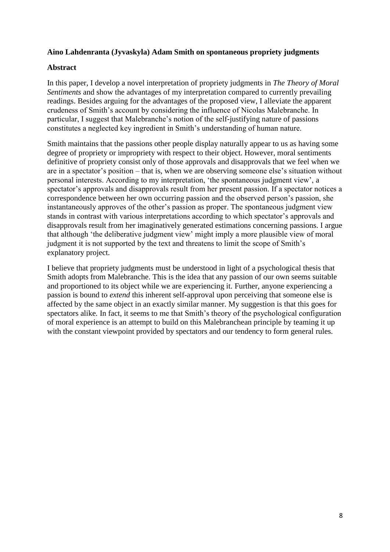### **Aino Lahdenranta (Jyvaskyla) Adam Smith on spontaneous propriety judgments**

### **Abstract**

In this paper, I develop a novel interpretation of propriety judgments in *The Theory of Moral Sentiments* and show the advantages of my interpretation compared to currently prevailing readings. Besides arguing for the advantages of the proposed view, I alleviate the apparent crudeness of Smith's account by considering the influence of Nicolas Malebranche. In particular, I suggest that Malebranche's notion of the self-justifying nature of passions constitutes a neglected key ingredient in Smith's understanding of human nature.

Smith maintains that the passions other people display naturally appear to us as having some degree of propriety or impropriety with respect to their object. However, moral sentiments definitive of propriety consist only of those approvals and disapprovals that we feel when we are in a spectator's position – that is, when we are observing someone else's situation without personal interests. According to my interpretation, 'the spontaneous judgment view', a spectator's approvals and disapprovals result from her present passion. If a spectator notices a correspondence between her own occurring passion and the observed person's passion, she instantaneously approves of the other's passion as proper. The spontaneous judgment view stands in contrast with various interpretations according to which spectator's approvals and disapprovals result from her imaginatively generated estimations concerning passions. I argue that although 'the deliberative judgment view' might imply a more plausible view of moral judgment it is not supported by the text and threatens to limit the scope of Smith's explanatory project.

I believe that propriety judgments must be understood in light of a psychological thesis that Smith adopts from Malebranche. This is the idea that any passion of our own seems suitable and proportioned to its object while we are experiencing it. Further, anyone experiencing a passion is bound to *extend* this inherent self-approval upon perceiving that someone else is affected by the same object in an exactly similar manner. My suggestion is that this goes for spectators alike. In fact, it seems to me that Smith's theory of the psychological configuration of moral experience is an attempt to build on this Malebranchean principle by teaming it up with the constant viewpoint provided by spectators and our tendency to form general rules.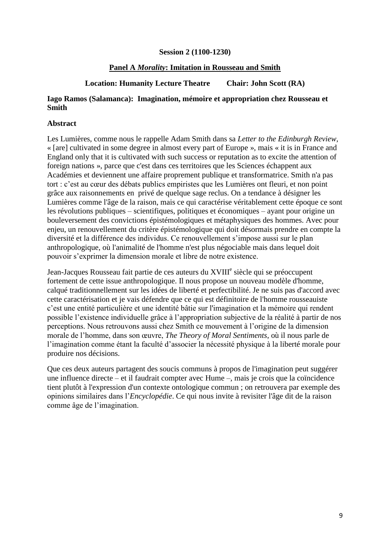### **Session 2 (1100-1230)**

# **Panel A** *Morality***: Imitation in Rousseau and Smith**

### **Location: Humanity Lecture Theatre Chair: John Scott (RA)**

# **Iago Ramos (Salamanca): Imagination, mémoire et appropriation chez Rousseau et Smith**

#### **Abstract**

Les Lumières, comme nous le rappelle Adam Smith dans sa *Letter to the Edinburgh Review*, « [are] cultivated in some degree in almost every part of Europe », mais « it is in France and England only that it is cultivated with such success or reputation as to excite the attention of foreign nations », parce que c'est dans ces territoires que les Sciences échappent aux Académies et deviennent une affaire proprement publique et transformatrice. Smith n'a pas tort : c'est au cœur des débats publics empiristes que les Lumières ont fleuri, et non point grâce aux raisonnements en privé de quelque sage reclus. On a tendance à désigner les Lumières comme l'âge de la raison, mais ce qui caractérise véritablement cette époque ce sont les révolutions publiques – scientifiques, politiques et économiques – ayant pour origine un bouleversement des convictions épistémologiques et métaphysiques des hommes. Avec pour enjeu, un renouvellement du critère épistémologique qui doit désormais prendre en compte la diversité et la différence des individus. Ce renouvellement s'impose aussi sur le plan anthropologique, où l'animalité de l'homme n'est plus négociable mais dans lequel doit pouvoir s'exprimer la dimension morale et libre de notre existence.

Jean-Jacques Rousseau fait partie de ces auteurs du XVIII<sup>e</sup> siècle qui se préoccupent fortement de cette issue anthropologique. Il nous propose un nouveau modèle d'homme, calqué traditionnellement sur les idées de liberté et perfectibilité. Je ne suis pas d'accord avec cette caractérisation et je vais défendre que ce qui est définitoire de l'homme rousseauiste c'est une entité particulière et une identité bâtie sur l'imagination et la mémoire qui rendent possible l'existence individuelle grâce à l'appropriation subjective de la réalité à partir de nos perceptions. Nous retrouvons aussi chez Smith ce mouvement à l'origine de la dimension morale de l'homme, dans son œuvre, *The Theory of Moral Sentiments*, où il nous parle de l'imagination comme étant la faculté d'associer la nécessité physique à la liberté morale pour produire nos décisions.

Que ces deux auteurs partagent des soucis communs à propos de l'imagination peut suggérer une influence directe – et il faudrait compter avec Hume –, mais je crois que la coïncidence tient plutôt à l'expression d'un contexte ontologique commun ; on retrouvera par exemple des opinions similaires dans l'*Encyclopédie*. Ce qui nous invite à revisiter l'âge dit de la raison comme âge de l'imagination.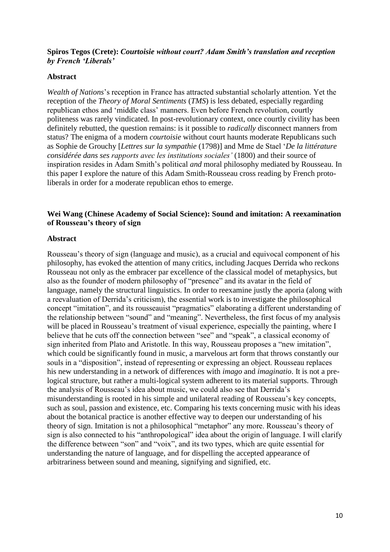### **Spiros Tegos (Crete):** *Courtoisie without court? Adam Smith's translation and reception by French 'Liberals'*

#### **Abstract**

*Wealth of Nations*'s reception in France has attracted substantial scholarly attention. Yet the reception of the *Theory of Moral Sentiments* (*TMS*) is less debated, especially regarding republican ethos and 'middle class' manners. Even before French revolution, courtly politeness was rarely vindicated. In post-revolutionary context, once courtly civility has been definitely rebutted, the question remains: is it possible to *radically* disconnect manners from status? The enigma of a modern *courtoisie* without court haunts moderate Republicans such as Sophie de Grouchy [*Lettres sur la sympathie* (1798)] and Mme de Stael '*De la littérature considérée dans ses rapports avec les institutions sociales'* (1800) and their source of inspiration resides in Adam Smith's political *and* moral philosophy mediated by Rousseau. In this paper I explore the nature of this Adam Smith-Rousseau cross reading by French protoliberals in order for a moderate republican ethos to emerge.

# **Wei Wang (Chinese Academy of Social Science): Sound and imitation: A reexamination of Rousseau's theory of sign**

#### **Abstract**

Rousseau's theory of sign (language and music), as a crucial and equivocal component of his philosophy, has evoked the attention of many critics, including Jacques Derrida who reckons Rousseau not only as the embracer par excellence of the classical model of metaphysics, but also as the founder of modern philosophy of "presence" and its avatar in the field of language, namely the structural linguistics. In order to reexamine justly the aporia (along with a reevaluation of Derrida's criticism), the essential work is to investigate the philosophical concept "imitation", and its rousseauist "pragmatics" elaborating a different understanding of the relationship between "sound" and "meaning". Nevertheless, the first focus of my analysis will be placed in Rousseau's treatment of visual experience, especially the painting, where I believe that he cuts off the connection between "see" and "speak", a classical economy of sign inherited from Plato and Aristotle. In this way, Rousseau proposes a "new imitation", which could be significantly found in music, a marvelous art form that throws constantly our souls in a "disposition", instead of representing or expressing an object. Rousseau replaces his new understanding in a network of differences with *imago* and *imaginatio*. It is not a prelogical structure, but rather a multi-logical system adherent to its material supports. Through the analysis of Rousseau's idea about music, we could also see that Derrida's misunderstanding is rooted in his simple and unilateral reading of Rousseau's key concepts, such as soul, passion and existence, etc. Comparing his texts concerning music with his ideas about the botanical practice is another effective way to deepen our understanding of his theory of sign. Imitation is not a philosophical "metaphor" any more. Rousseau's theory of sign is also connected to his "anthropological" idea about the origin of language. I will clarify the difference between "son" and "voix", and its two types, which are quite essential for understanding the nature of language, and for dispelling the accepted appearance of arbitrariness between sound and meaning, signifying and signified, etc.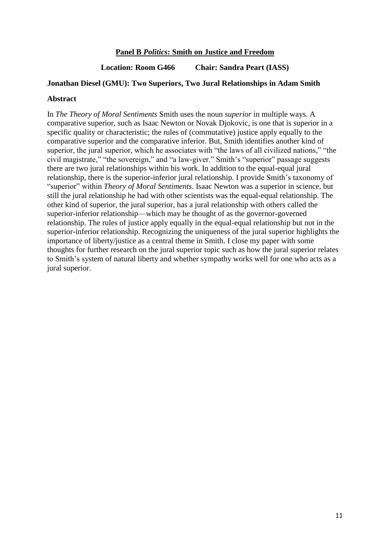#### **Panel B** *Politics***: Smith on Justice and Freedom**

**Location: Room G466 Chair: Sandra Peart (IASS)**

# **Jonathan Diesel (GMU): Two Superiors, Two Jural Relationships in Adam Smith**

### **Abstract**

In *The Theory of Moral Sentiments* Smith uses the noun *superior* in multiple ways. A comparative superior, such as Isaac Newton or Novak Djokovic, is one that is superior in a specific quality or characteristic; the rules of (commutative) justice apply equally to the comparative superior and the comparative inferior. But, Smith identifies another kind of superior, the jural superior, which he associates with "the laws of all civilized nations," "the civil magistrate," "the sovereign," and "a law-giver." Smith's "superior" passage suggests there are two jural relationships within his work. In addition to the equal-equal jural relationship, there is the superior-inferior jural relationship. I provide Smith's taxonomy of "superior" within *Theory of Moral Sentiments*. Isaac Newton was a superior in science, but still the jural relationship he had with other scientists was the equal-equal relationship. The other kind of superior, the jural superior, has a jural relationship with others called the superior-inferior relationship—which may be thought of as the governor-governed relationship. The rules of justice apply equally in the equal-equal relationship but not in the superior-inferior relationship. Recognizing the uniqueness of the jural superior highlights the importance of liberty/justice as a central theme in Smith. I close my paper with some thoughts for further research on the jural superior topic such as how the jural superior relates to Smith's system of natural liberty and whether sympathy works well for one who acts as a jural superior.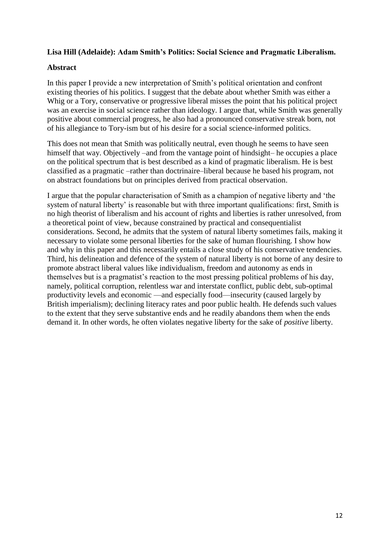# **Lisa Hill (Adelaide): Adam Smith's Politics: Social Science and Pragmatic Liberalism.**

### **Abstract**

In this paper I provide a new interpretation of Smith's political orientation and confront existing theories of his politics. I suggest that the debate about whether Smith was either a Whig or a Tory, conservative or progressive liberal misses the point that his political project was an exercise in social science rather than ideology. I argue that, while Smith was generally positive about commercial progress, he also had a pronounced conservative streak born, not of his allegiance to Tory-ism but of his desire for a social science-informed politics.

This does not mean that Smith was politically neutral, even though he seems to have seen himself that way. Objectively –and from the vantage point of hindsight– he occupies a place on the political spectrum that is best described as a kind of pragmatic liberalism. He is best classified as a pragmatic –rather than doctrinaire–liberal because he based his program, not on abstract foundations but on principles derived from practical observation.

I argue that the popular characterisation of Smith as a champion of negative liberty and 'the system of natural liberty' is reasonable but with three important qualifications: first, Smith is no high theorist of liberalism and his account of rights and liberties is rather unresolved, from a theoretical point of view, because constrained by practical and consequentialist considerations. Second, he admits that the system of natural liberty sometimes fails, making it necessary to violate some personal liberties for the sake of human flourishing. I show how and why in this paper and this necessarily entails a close study of his conservative tendencies. Third, his delineation and defence of the system of natural liberty is not borne of any desire to promote abstract liberal values like individualism, freedom and autonomy as ends in themselves but is a pragmatist's reaction to the most pressing political problems of his day, namely, political corruption, relentless war and interstate conflict, public debt, sub-optimal productivity levels and economic —and especially food—insecurity (caused largely by British imperialism); declining literacy rates and poor public health. He defends such values to the extent that they serve substantive ends and he readily abandons them when the ends demand it. In other words, he often violates negative liberty for the sake of *positive* liberty.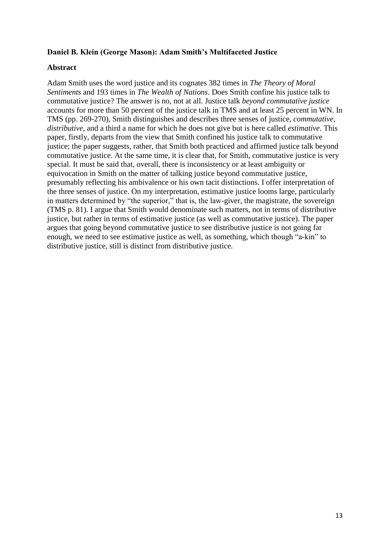### **Daniel B. Klein (George Mason): Adam Smith's Multifaceted Justice**

#### **Abstract**

Adam Smith uses the word justice and its cognates 382 times in *The Theory of Moral Sentiments* and 193 times in *The Wealth of Nations*. Does Smith confine his justice talk to commutative justice? The answer is no, not at all. Justice talk *beyond commutative justice* accounts for more than 50 percent of the justice talk in TMS and at least 25 percent in WN. In TMS (pp. 269-270), Smith distinguishes and describes three senses of justice, *commutative*, *distributive*, and a third a name for which he does not give but is here called *estimative*. This paper, firstly, departs from the view that Smith confined his justice talk to commutative justice; the paper suggests, rather, that Smith both practiced and affirmed justice talk beyond commutative justice. At the same time, it is clear that, for Smith, commutative justice is very special. It must be said that, overall, there is inconsistency or at least ambiguity or equivocation in Smith on the matter of talking justice beyond commutative justice, presumably reflecting his ambivalence or his own tacit distinctions. I offer interpretation of the three senses of justice. On my interpretation, estimative justice looms large, particularly in matters determined by "the superior," that is, the law-giver, the magistrate, the sovereign (TMS p. 81). I argue that Smith would denominate such matters, not in terms of distributive justice, but rather in terms of estimative justice (as well as commutative justice). The paper argues that going beyond commutative justice to see distributive justice is not going far enough, we need to see estimative justice as well, as something, which though "a-kin" to distributive justice, still is distinct from distributive justice.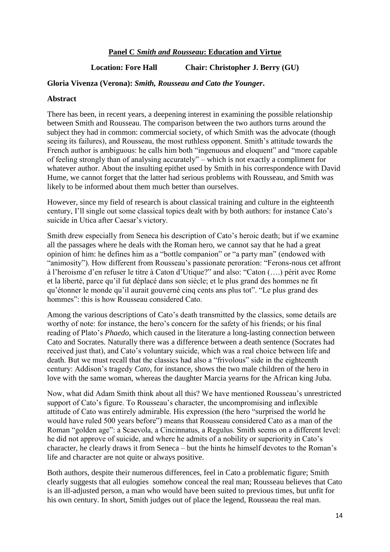### **Panel C** *Smith and Rousseau***: Education and Virtue**

**Location: Fore Hall Chair: Christopher J. Berry (GU)**

### **Gloria Vivenza (Verona):** *Smith, Rousseau and Cato the Younger***.**

# **Abstract**

There has been, in recent years, a deepening interest in examining the possible relationship between Smith and Rousseau. The comparison between the two authors turns around the subject they had in common: commercial society, of which Smith was the advocate (though seeing its failures), and Rousseau, the most ruthless opponent. Smith's attitude towards the French author is ambiguous: he calls him both "ingenuous and eloquent" and "more capable of feeling strongly than of analysing accurately" – which is not exactly a compliment for whatever author. About the insulting epithet used by Smith in his correspondence with David Hume, we cannot forget that the latter had serious problems with Rousseau, and Smith was likely to be informed about them much better than ourselves.

However, since my field of research is about classical training and culture in the eighteenth century, I'll single out some classical topics dealt with by both authors: for instance Cato's suicide in Utica after Caesar's victory.

Smith drew especially from Seneca his description of Cato's heroic death; but if we examine all the passages where he deals with the Roman hero, we cannot say that he had a great opinion of him: he defines him as a "bottle companion" or "a party man" (endowed with "animosity"). How different from Rousseau's passionate peroration: "Ferons-nous cet affront à l'heroisme d'en refuser le titre à Caton d'Utique?" and also: "Caton (….) périt avec Rome et la liberté, parce qu'il fut déplacé dans son siècle; et le plus grand des hommes ne fit qu'étonner le monde qu'il aurait gouverné cinq cents ans plus tot". "Le plus grand des hommes": this is how Rousseau considered Cato.

Among the various descriptions of Cato's death transmitted by the classics, some details are worthy of note: for instance, the hero's concern for the safety of his friends; or his final reading of Plato's *Phaedo*, which caused in the literature a long-lasting connection between Cato and Socrates. Naturally there was a difference between a death sentence (Socrates had received just that), and Cato's voluntary suicide, which was a real choice between life and death. But we must recall that the classics had also a "frivolous" side in the eighteenth century: Addison's tragedy *Cato*, for instance, shows the two male children of the hero in love with the same woman, whereas the daughter Marcia yearns for the African king Juba.

Now, what did Adam Smith think about all this? We have mentioned Rousseau's unrestricted support of Cato's figure. To Rousseau's character, the uncompromising and inflexible attitude of Cato was entirely admirable. His expression (the hero "surprised the world he would have ruled 500 years before") means that Rousseau considered Cato as a man of the Roman "golden age": a Scaevola, a Cincinnatus, a Regulus. Smith seems on a different level: he did not approve of suicide, and where he admits of a nobility or superiority in Cato's character, he clearly draws it from Seneca – but the hints he himself devotes to the Roman's life and character are not quite or always positive.

Both authors, despite their numerous differences, feel in Cato a problematic figure; Smith clearly suggests that all eulogies somehow conceal the real man; Rousseau believes that Cato is an ill-adjusted person, a man who would have been suited to previous times, but unfit for his own century. In short, Smith judges out of place the legend, Rousseau the real man.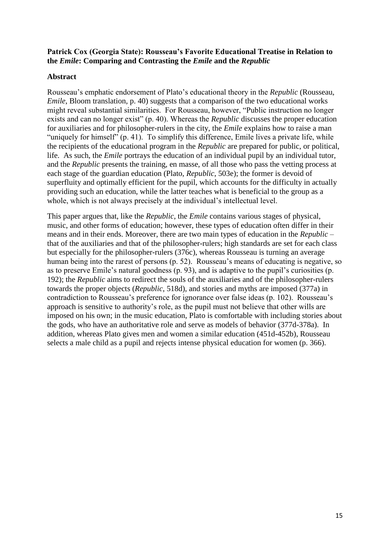### **Patrick Cox (Georgia State): Rousseau's Favorite Educational Treatise in Relation to the** *Emile***: Comparing and Contrasting the** *Emile* **and the** *Republic*

#### **Abstract**

Rousseau's emphatic endorsement of Plato's educational theory in the *Republic* (Rousseau, *Emile*, Bloom translation, p. 40) suggests that a comparison of the two educational works might reveal substantial similarities. For Rousseau, however, "Public instruction no longer exists and can no longer exist" (p. 40). Whereas the *Republic* discusses the proper education for auxiliaries and for philosopher-rulers in the city, the *Emile* explains how to raise a man "uniquely for himself" (p. 41). To simplify this difference, Emile lives a private life, while the recipients of the educational program in the *Republic* are prepared for public, or political, life. As such, the *Emile* portrays the education of an individual pupil by an individual tutor, and the *Republic* presents the training, en masse, of all those who pass the vetting process at each stage of the guardian education (Plato, *Republic*, 503e); the former is devoid of superfluity and optimally efficient for the pupil, which accounts for the difficulty in actually providing such an education, while the latter teaches what is beneficial to the group as a whole, which is not always precisely at the individual's intellectual level.

This paper argues that, like the *Republic*, the *Emile* contains various stages of physical, music, and other forms of education; however, these types of education often differ in their means and in their ends. Moreover, there are two main types of education in the *Republic* – that of the auxiliaries and that of the philosopher-rulers; high standards are set for each class but especially for the philosopher-rulers (376c), whereas Rousseau is turning an average human being into the rarest of persons (p. 52). Rousseau's means of educating is negative, so as to preserve Emile's natural goodness (p. 93), and is adaptive to the pupil's curiosities (p. 192); the *Republic* aims to redirect the souls of the auxiliaries and of the philosopher-rulers towards the proper objects (*Republic*, 518d), and stories and myths are imposed (377a) in contradiction to Rousseau's preference for ignorance over false ideas (p. 102). Rousseau's approach is sensitive to authority's role, as the pupil must not believe that other wills are imposed on his own; in the music education, Plato is comfortable with including stories about the gods, who have an authoritative role and serve as models of behavior (377d-378a). In addition, whereas Plato gives men and women a similar education (451d-452b), Rousseau selects a male child as a pupil and rejects intense physical education for women (p. 366).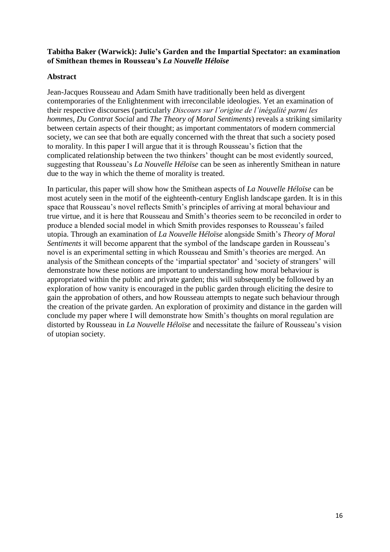### **Tabitha Baker (Warwick): Julie's Garden and the Impartial Spectator: an examination of Smithean themes in Rousseau's** *La Nouvelle Héloïse*

### **Abstract**

Jean-Jacques Rousseau and Adam Smith have traditionally been held as divergent contemporaries of the Enlightenment with irreconcilable ideologies. Yet an examination of their respective discourses (particularly *Discours sur l'origine de l'inégalité parmi les hommes*, *Du Contrat Social* and *The Theory of Moral Sentiments*) reveals a striking similarity between certain aspects of their thought; as important commentators of modern commercial society, we can see that both are equally concerned with the threat that such a society posed to morality. In this paper I will argue that it is through Rousseau's fiction that the complicated relationship between the two thinkers' thought can be most evidently sourced, suggesting that Rousseau's *La Nouvelle Héloïse* can be seen as inherently Smithean in nature due to the way in which the theme of morality is treated.

In particular, this paper will show how the Smithean aspects of *La Nouvelle Héloïse* can be most acutely seen in the motif of the eighteenth-century English landscape garden. It is in this space that Rousseau's novel reflects Smith's principles of arriving at moral behaviour and true virtue, and it is here that Rousseau and Smith's theories seem to be reconciled in order to produce a blended social model in which Smith provides responses to Rousseau's failed utopia. Through an examination of *La Nouvelle Héloïse* alongside Smith's *Theory of Moral Sentiments* it will become apparent that the symbol of the landscape garden in Rousseau's novel is an experimental setting in which Rousseau and Smith's theories are merged. An analysis of the Smithean concepts of the 'impartial spectator' and 'society of strangers' will demonstrate how these notions are important to understanding how moral behaviour is appropriated within the public and private garden; this will subsequently be followed by an exploration of how vanity is encouraged in the public garden through eliciting the desire to gain the approbation of others, and how Rousseau attempts to negate such behaviour through the creation of the private garden. An exploration of proximity and distance in the garden will conclude my paper where I will demonstrate how Smith's thoughts on moral regulation are distorted by Rousseau in *La Nouvelle Héloïse* and necessitate the failure of Rousseau's vision of utopian society.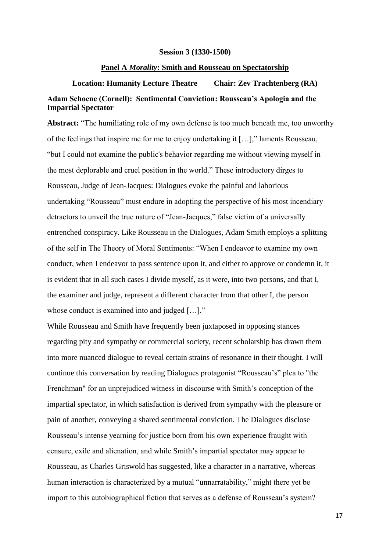#### **Session 3 (1330-1500)**

#### **Panel A** *Morality***: Smith and Rousseau on Spectatorship**

#### **Location: Humanity Lecture Theatre Chair: Zev Trachtenberg (RA)**

### **Adam Schoene (Cornell): Sentimental Conviction: Rousseau's Apologia and the Impartial Spectator**

**Abstract:** "The humiliating role of my own defense is too much beneath me, too unworthy of the feelings that inspire me for me to enjoy undertaking it […]," laments Rousseau, "but I could not examine the public's behavior regarding me without viewing myself in the most deplorable and cruel position in the world." These introductory dirges to Rousseau, Judge of Jean-Jacques: Dialogues evoke the painful and laborious undertaking "Rousseau" must endure in adopting the perspective of his most incendiary detractors to unveil the true nature of "Jean-Jacques," false victim of a universally entrenched conspiracy. Like Rousseau in the Dialogues, Adam Smith employs a splitting of the self in The Theory of Moral Sentiments: "When I endeavor to examine my own conduct, when I endeavor to pass sentence upon it, and either to approve or condemn it, it is evident that in all such cases I divide myself, as it were, into two persons, and that I, the examiner and judge, represent a different character from that other I, the person whose conduct is examined into and judged [...]."

While Rousseau and Smith have frequently been juxtaposed in opposing stances regarding pity and sympathy or commercial society, recent scholarship has drawn them into more nuanced dialogue to reveal certain strains of resonance in their thought. I will continue this conversation by reading Dialogues protagonist "Rousseau's" plea to "the Frenchman" for an unprejudiced witness in discourse with Smith's conception of the impartial spectator, in which satisfaction is derived from sympathy with the pleasure or pain of another, conveying a shared sentimental conviction. The Dialogues disclose Rousseau's intense yearning for justice born from his own experience fraught with censure, exile and alienation, and while Smith's impartial spectator may appear to Rousseau, as Charles Griswold has suggested, like a character in a narrative, whereas human interaction is characterized by a mutual "unnarratability," might there yet be import to this autobiographical fiction that serves as a defense of Rousseau's system?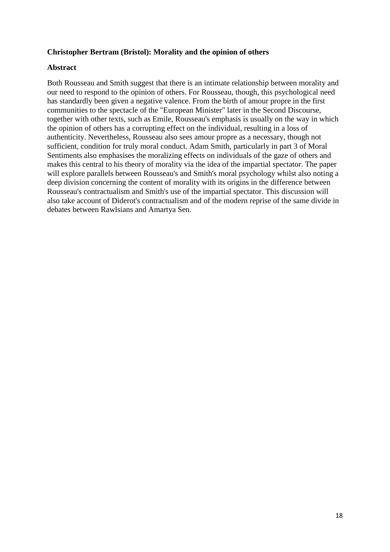# **Christopher Bertram (Bristol): Morality and the opinion of others**

#### **Abstract**

Both Rousseau and Smith suggest that there is an intimate relationship between morality and our need to respond to the opinion of others. For Rousseau, though, this psychological need has standardly been given a negative valence. From the birth of amour propre in the first communities to the spectacle of the "European Minister" later in the Second Discourse, together with other texts, such as Emile, Rousseau's emphasis is usually on the way in which the opinion of others has a corrupting effect on the individual, resulting in a loss of authenticity. Nevertheless, Rousseau also sees amour propre as a necessary, though not sufficient, condition for truly moral conduct. Adam Smith, particularly in part 3 of Moral Sentiments also emphasises the moralizing effects on individuals of the gaze of others and makes this central to his theory of morality via the idea of the impartial spectator. The paper will explore parallels between Rousseau's and Smith's moral psychology whilst also noting a deep division concerning the content of morality with its origins in the difference between Rousseau's contractualism and Smith's use of the impartial spectator. This discussion will also take account of Diderot's contractualism and of the modern reprise of the same divide in debates between Rawlsians and Amartya Sen.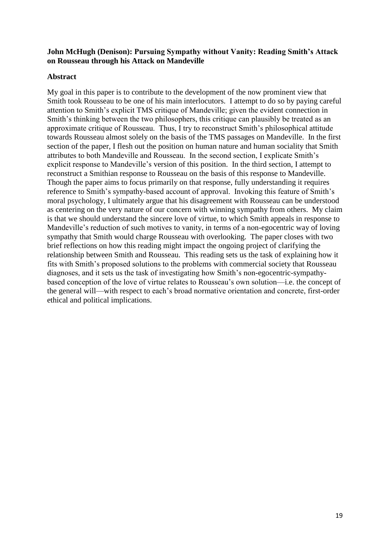### **John McHugh (Denison): Pursuing Sympathy without Vanity: Reading Smith's Attack on Rousseau through his Attack on Mandeville**

#### **Abstract**

My goal in this paper is to contribute to the development of the now prominent view that Smith took Rousseau to be one of his main interlocutors. I attempt to do so by paying careful attention to Smith's explicit TMS critique of Mandeville; given the evident connection in Smith's thinking between the two philosophers, this critique can plausibly be treated as an approximate critique of Rousseau. Thus, I try to reconstruct Smith's philosophical attitude towards Rousseau almost solely on the basis of the TMS passages on Mandeville. In the first section of the paper, I flesh out the position on human nature and human sociality that Smith attributes to both Mandeville and Rousseau. In the second section, I explicate Smith's explicit response to Mandeville's version of this position. In the third section, I attempt to reconstruct a Smithian response to Rousseau on the basis of this response to Mandeville. Though the paper aims to focus primarily on that response, fully understanding it requires reference to Smith's sympathy-based account of approval. Invoking this feature of Smith's moral psychology, I ultimately argue that his disagreement with Rousseau can be understood as centering on the very nature of our concern with winning sympathy from others. My claim is that we should understand the sincere love of virtue, to which Smith appeals in response to Mandeville's reduction of such motives to vanity, in terms of a non-egocentric way of loving sympathy that Smith would charge Rousseau with overlooking. The paper closes with two brief reflections on how this reading might impact the ongoing project of clarifying the relationship between Smith and Rousseau. This reading sets us the task of explaining how it fits with Smith's proposed solutions to the problems with commercial society that Rousseau diagnoses, and it sets us the task of investigating how Smith's non-egocentric-sympathybased conception of the love of virtue relates to Rousseau's own solution—i.e. the concept of the general will—with respect to each's broad normative orientation and concrete, first-order ethical and political implications.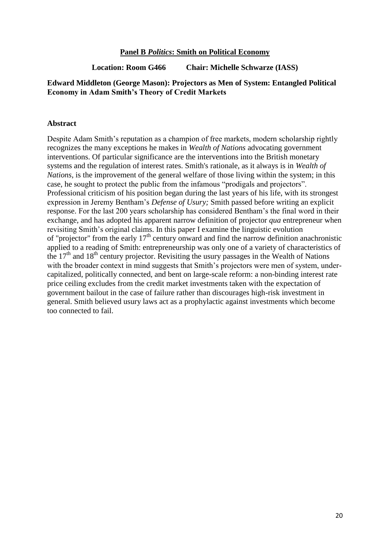#### **Panel B** *Politics***: Smith on Political Economy**

**Location: Room G466 Chair: Michelle Schwarze (IASS)**

### **Edward Middleton (George Mason): Projectors as Men of System: Entangled Political Economy in Adam Smith's Theory of Credit Markets**

#### **Abstract**

Despite Adam Smith's reputation as a champion of free markets, modern scholarship rightly recognizes the many exceptions he makes in *Wealth of Nations* advocating government interventions. Of particular significance are the interventions into the British monetary systems and the regulation of interest rates. Smith's rationale, as it always is in *Wealth of Nations*, is the improvement of the general welfare of those living within the system; in this case, he sought to protect the public from the infamous "prodigals and projectors". Professional criticism of his position began during the last years of his life, with its strongest expression in Jeremy Bentham's *Defense of Usury;* Smith passed before writing an explicit response. For the last 200 years scholarship has considered Bentham's the final word in their exchange, and has adopted his apparent narrow definition of projector *qua* entrepreneur when revisiting Smith's original claims. In this paper I examine the linguistic evolution of "projector" from the early  $17<sup>th</sup>$  century onward and find the narrow definition anachronistic applied to a reading of Smith: entrepreneurship was only one of a variety of characteristics of the  $17<sup>th</sup>$  and  $18<sup>th</sup>$  century projector. Revisiting the usury passages in the Wealth of Nations with the broader context in mind suggests that Smith's projectors were men of system, undercapitalized, politically connected, and bent on large-scale reform: a non-binding interest rate price ceiling excludes from the credit market investments taken with the expectation of government bailout in the case of failure rather than discourages high-risk investment in general. Smith believed usury laws act as a prophylactic against investments which become too connected to fail.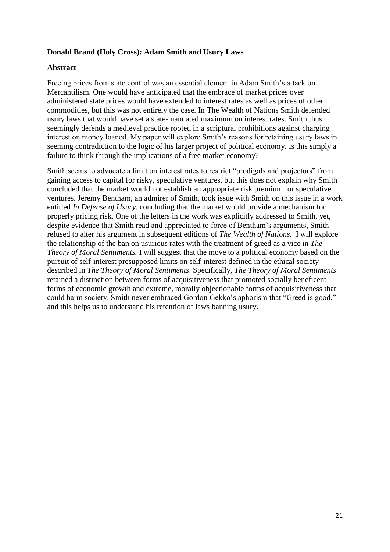# **Donald Brand (Holy Cross): Adam Smith and Usury Laws**

### **Abstract**

Freeing prices from state control was an essential element in Adam Smith's attack on Mercantilism. One would have anticipated that the embrace of market prices over administered state prices would have extended to interest rates as well as prices of other commodities, but this was not entirely the case. In The Wealth of Nations Smith defended usury laws that would have set a state-mandated maximum on interest rates. Smith thus seemingly defends a medieval practice rooted in a scriptural prohibitions against charging interest on money loaned. My paper will explore Smith's reasons for retaining usury laws in seeming contradiction to the logic of his larger project of political economy. Is this simply a failure to think through the implications of a free market economy?

Smith seems to advocate a limit on interest rates to restrict "prodigals and projectors" from gaining access to capital for risky, speculative ventures, but this does not explain why Smith concluded that the market would not establish an appropriate risk premium for speculative ventures. Jeremy Bentham, an admirer of Smith, took issue with Smith on this issue in a work entitled *In Defense of Usury*, concluding that the market would provide a mechanism for properly pricing risk. One of the letters in the work was explicitly addressed to Smith, yet, despite evidence that Smith read and appreciated to force of Bentham's arguments, Smith refused to alter his argument in subsequent editions of *The Wealth of Nations.* I will explore the relationship of the ban on usurious rates with the treatment of greed as a vice in *The Theory of Moral Sentiments.* I will suggest that the move to a political economy based on the pursuit of self-interest presupposed limits on self-interest defined in the ethical society described in *The Theory of Moral Sentiments*. Specifically, *The Theory of Moral Sentiments*  retained a distinction between forms of acquisitiveness that promoted socially beneficent forms of economic growth and extreme, morally objectionable forms of acquisitiveness that could harm society. Smith never embraced Gordon Gekko's aphorism that "Greed is good," and this helps us to understand his retention of laws banning usury.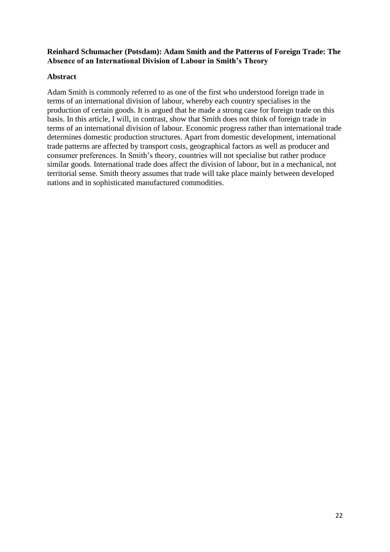# **Reinhard Schumacher (Potsdam): Adam Smith and the Patterns of Foreign Trade: The Absence of an International Division of Labour in Smith's Theory**

### **Abstract**

Adam Smith is commonly referred to as one of the first who understood foreign trade in terms of an international division of labour, whereby each country specialises in the production of certain goods. It is argued that he made a strong case for foreign trade on this basis. In this article, I will, in contrast, show that Smith does not think of foreign trade in terms of an international division of labour. Economic progress rather than international trade determines domestic production structures. Apart from domestic development, international trade patterns are affected by transport costs, geographical factors as well as producer and consumer preferences. In Smith's theory, countries will not specialise but rather produce similar goods. International trade does affect the division of labour, but in a mechanical, not territorial sense. Smith theory assumes that trade will take place mainly between developed nations and in sophisticated manufactured commodities.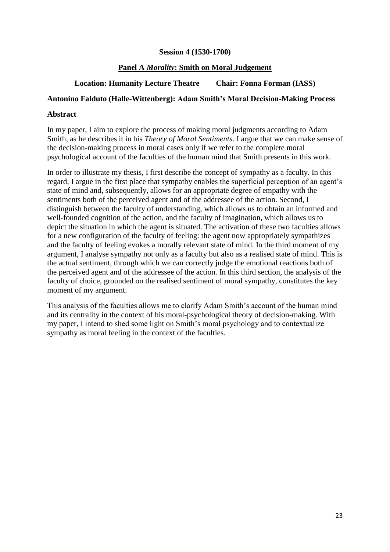# **Session 4 (1530-1700)**

### **Panel A** *Morality***: Smith on Moral Judgement**

### **Location: Humanity Lecture Theatre Chair: Fonna Forman (IASS)**

### **Antonino Falduto (Halle-Wittenberg): Adam Smith's Moral Decision-Making Process**

### **Abstract**

In my paper, I aim to explore the process of making moral judgments according to Adam Smith, as he describes it in his *Theory of Moral Sentiments*. I argue that we can make sense of the decision-making process in moral cases only if we refer to the complete moral psychological account of the faculties of the human mind that Smith presents in this work.

In order to illustrate my thesis, I first describe the concept of sympathy as a faculty. In this regard, I argue in the first place that sympathy enables the superficial perception of an agent's state of mind and, subsequently, allows for an appropriate degree of empathy with the sentiments both of the perceived agent and of the addressee of the action. Second, I distinguish between the faculty of understanding, which allows us to obtain an informed and well-founded cognition of the action, and the faculty of imagination, which allows us to depict the situation in which the agent is situated. The activation of these two faculties allows for a new configuration of the faculty of feeling: the agent now appropriately sympathizes and the faculty of feeling evokes a morally relevant state of mind. In the third moment of my argument, I analyse sympathy not only as a faculty but also as a realised state of mind. This is the actual sentiment, through which we can correctly judge the emotional reactions both of the perceived agent and of the addressee of the action. In this third section, the analysis of the faculty of choice, grounded on the realised sentiment of moral sympathy, constitutes the key moment of my argument.

This analysis of the faculties allows me to clarify Adam Smith's account of the human mind and its centrality in the context of his moral-psychological theory of decision-making. With my paper, I intend to shed some light on Smith's moral psychology and to contextualize sympathy as moral feeling in the context of the faculties.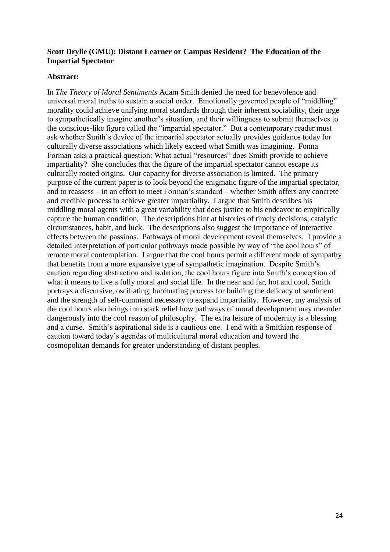### **Scott Drylie (GMU): Distant Learner or Campus Resident? The Education of the Impartial Spectator**

#### **Abstract:**

In *The Theory of Moral Sentiments* Adam Smith denied the need for benevolence and universal moral truths to sustain a social order. Emotionally governed people of "middling" morality could achieve unifying moral standards through their inherent sociability, their urge to sympathetically imagine another's situation, and their willingness to submit themselves to the conscious-like figure called the "impartial spectator." But a contemporary reader must ask whether Smith's device of the impartial spectator actually provides guidance today for culturally diverse associations which likely exceed what Smith was imagining. Fonna Forman asks a practical question: What actual "resources" does Smith provide to achieve impartiality? She concludes that the figure of the impartial spectator cannot escape its culturally rooted origins. Our capacity for diverse association is limited. The primary purpose of the current paper is to look beyond the enigmatic figure of the impartial spectator, and to reassess – in an effort to meet Forman's standard – whether Smith offers any concrete and credible process to achieve greater impartiality. I argue that Smith describes his middling moral agents with a great variability that does justice to his endeavor to empirically capture the human condition. The descriptions hint at histories of timely decisions, catalytic circumstances, habit, and luck. The descriptions also suggest the importance of interactive effects between the passions. Pathways of moral development reveal themselves. I provide a detailed interpretation of particular pathways made possible by way of "the cool hours" of remote moral contemplation. I argue that the cool hours permit a different mode of sympathy that benefits from a more expansive type of sympathetic imagination. Despite Smith's caution regarding abstraction and isolation, the cool hours figure into Smith's conception of what it means to live a fully moral and social life. In the near and far, hot and cool, Smith portrays a discursive, oscillating, habituating process for building the delicacy of sentiment and the strength of self-command necessary to expand impartiality. However, my analysis of the cool hours also brings into stark relief how pathways of moral development may meander dangerously into the cool reason of philosophy. The extra leisure of modernity is a blessing and a curse. Smith's aspirational side is a cautious one. I end with a Smithian response of caution toward today's agendas of multicultural moral education and toward the cosmopolitan demands for greater understanding of distant peoples.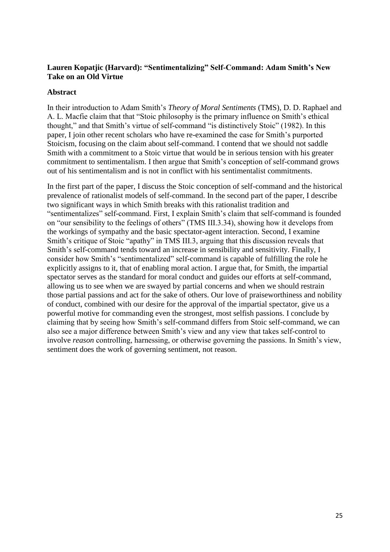# **Lauren Kopatjic (Harvard): "Sentimentalizing" Self-Command: Adam Smith's New Take on an Old Virtue**

### **Abstract**

In their introduction to Adam Smith's *Theory of Moral Sentiments* (TMS), D. D. Raphael and A. L. Macfie claim that that "Stoic philosophy is the primary influence on Smith's ethical thought," and that Smith's virtue of self-command "is distinctively Stoic" (1982). In this paper, I join other recent scholars who have re-examined the case for Smith's purported Stoicism, focusing on the claim about self-command. I contend that we should not saddle Smith with a commitment to a Stoic virtue that would be in serious tension with his greater commitment to sentimentalism. I then argue that Smith's conception of self-command grows out of his sentimentalism and is not in conflict with his sentimentalist commitments.

In the first part of the paper, I discuss the Stoic conception of self-command and the historical prevalence of rationalist models of self-command. In the second part of the paper, I describe two significant ways in which Smith breaks with this rationalist tradition and "sentimentalizes" self-command. First, I explain Smith's claim that self-command is founded on "our sensibility to the feelings of others" (TMS III.3.34), showing how it develops from the workings of sympathy and the basic spectator-agent interaction. Second, I examine Smith's critique of Stoic "apathy" in TMS III.3, arguing that this discussion reveals that Smith's self-command tends toward an increase in sensibility and sensitivity. Finally, I consider how Smith's "sentimentalized" self-command is capable of fulfilling the role he explicitly assigns to it, that of enabling moral action. I argue that, for Smith, the impartial spectator serves as the standard for moral conduct and guides our efforts at self-command, allowing us to see when we are swayed by partial concerns and when we should restrain those partial passions and act for the sake of others. Our love of praiseworthiness and nobility of conduct, combined with our desire for the approval of the impartial spectator, give us a powerful motive for commanding even the strongest, most selfish passions. I conclude by claiming that by seeing how Smith's self-command differs from Stoic self-command, we can also see a major difference between Smith's view and any view that takes self-control to involve *reason* controlling, harnessing, or otherwise governing the passions. In Smith's view, sentiment does the work of governing sentiment, not reason.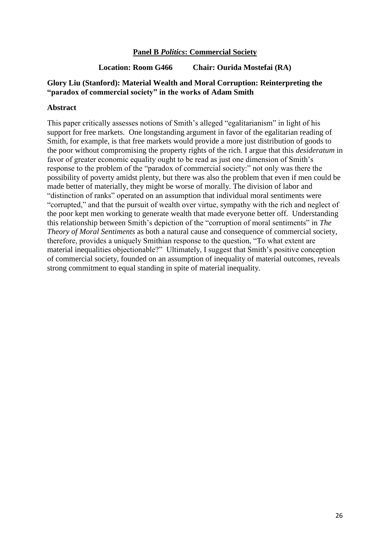#### **Panel B** *Politics***: Commercial Society**

**Location: Room G466 Chair: Ourida Mostefai (RA)**

# **Glory Liu (Stanford): Material Wealth and Moral Corruption: Reinterpreting the "paradox of commercial society" in the works of Adam Smith**

### **Abstract**

This paper critically assesses notions of Smith's alleged "egalitarianism" in light of his support for free markets. One longstanding argument in favor of the egalitarian reading of Smith, for example, is that free markets would provide a more just distribution of goods to the poor without compromising the property rights of the rich. I argue that this *desideratum* in favor of greater economic equality ought to be read as just one dimension of Smith's response to the problem of the "paradox of commercial society:" not only was there the possibility of poverty amidst plenty, but there was also the problem that even if men could be made better of materially, they might be worse of morally. The division of labor and "distinction of ranks" operated on an assumption that individual moral sentiments were "corrupted," and that the pursuit of wealth over virtue, sympathy with the rich and neglect of the poor kept men working to generate wealth that made everyone better off. Understanding this relationship between Smith's depiction of the "corruption of moral sentiments" in *The Theory of Moral Sentiments* as both a natural cause and consequence of commercial society, therefore, provides a uniquely Smithian response to the question, "To what extent are material inequalities objectionable?" Ultimately, I suggest that Smith's positive conception of commercial society, founded on an assumption of inequality of material outcomes, reveals strong commitment to equal standing in spite of material inequality.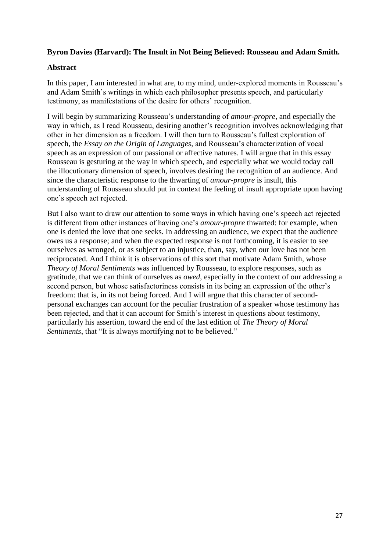# **Byron Davies (Harvard): The Insult in Not Being Believed: Rousseau and Adam Smith.**

### **Abstract**

In this paper, I am interested in what are, to my mind, under-explored moments in Rousseau's and Adam Smith's writings in which each philosopher presents speech, and particularly testimony, as manifestations of the desire for others' recognition.

I will begin by summarizing Rousseau's understanding of *amour-propre*, and especially the way in which, as I read Rousseau, desiring another's recognition involves acknowledging that other in her dimension as a freedom. I will then turn to Rousseau's fullest exploration of speech, the *Essay on the Origin of Languages*, and Rousseau's characterization of vocal speech as an expression of our passional or affective natures. I will argue that in this essay Rousseau is gesturing at the way in which speech, and especially what we would today call the illocutionary dimension of speech, involves desiring the recognition of an audience. And since the characteristic response to the thwarting of *amour-propre* is insult, this understanding of Rousseau should put in context the feeling of insult appropriate upon having one's speech act rejected.

But I also want to draw our attention to some ways in which having one's speech act rejected is different from other instances of having one's *amour-propre* thwarted: for example, when one is denied the love that one seeks. In addressing an audience, we expect that the audience owes us a response; and when the expected response is not forthcoming, it is easier to see ourselves as wronged, or as subject to an injustice, than, say, when our love has not been reciprocated. And I think it is observations of this sort that motivate Adam Smith, whose *Theory of Moral Sentiments* was influenced by Rousseau, to explore responses, such as gratitude, that we can think of ourselves as *owed*, especially in the context of our addressing a second person, but whose satisfactoriness consists in its being an expression of the other's freedom: that is, in its not being forced. And I will argue that this character of secondpersonal exchanges can account for the peculiar frustration of a speaker whose testimony has been rejected, and that it can account for Smith's interest in questions about testimony, particularly his assertion, toward the end of the last edition of *The Theory of Moral Sentiments*, that "It is always mortifying not to be believed."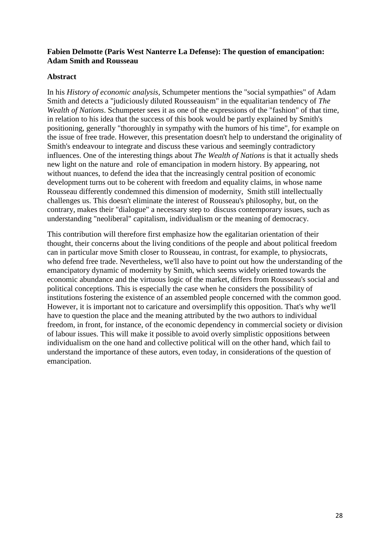### **Fabien Delmotte (Paris West Nanterre La Defense): The question of emancipation: Adam Smith and Rousseau**

#### **Abstract**

In his *History of economic analysis*, Schumpeter mentions the "social sympathies" of Adam Smith and detects a "judiciously diluted Rousseauism" in the equalitarian tendency of *The Wealth of Nations*. Schumpeter sees it as one of the expressions of the "fashion" of that time, in relation to his idea that the success of this book would be partly explained by Smith's positioning, generally "thoroughly in sympathy with the humors of his time", for example on the issue of free trade. However, this presentation doesn't help to understand the originality of Smith's endeavour to integrate and discuss these various and seemingly contradictory influences. One of the interesting things about *The Wealth of Nations* is that it actually sheds new light on the nature and role of emancipation in modern history. By appearing, not without nuances, to defend the idea that the increasingly central position of economic development turns out to be coherent with freedom and equality claims, in whose name Rousseau differently condemned this dimension of modernity, Smith still intellectually challenges us. This doesn't eliminate the interest of Rousseau's philosophy, but, on the contrary, makes their "dialogue" a necessary step to discuss contemporary issues, such as understanding "neoliberal" capitalism, individualism or the meaning of democracy.

This contribution will therefore first emphasize how the egalitarian orientation of their thought, their concerns about the living conditions of the people and about political freedom can in particular move Smith closer to Rousseau, in contrast, for example, to physiocrats, who defend free trade. Nevertheless, we'll also have to point out how the understanding of the emancipatory dynamic of modernity by Smith, which seems widely oriented towards the economic abundance and the virtuous logic of the market, differs from Rousseau's social and political conceptions. This is especially the case when he considers the possibility of institutions fostering the existence of an assembled people concerned with the common good. However, it is important not to caricature and oversimplify this opposition. That's why we'll have to question the place and the meaning attributed by the two authors to individual freedom, in front, for instance, of the economic dependency in commercial society or division of labour issues. This will make it possible to avoid overly simplistic oppositions between individualism on the one hand and collective political will on the other hand, which fail to understand the importance of these autors, even today, in considerations of the question of emancipation.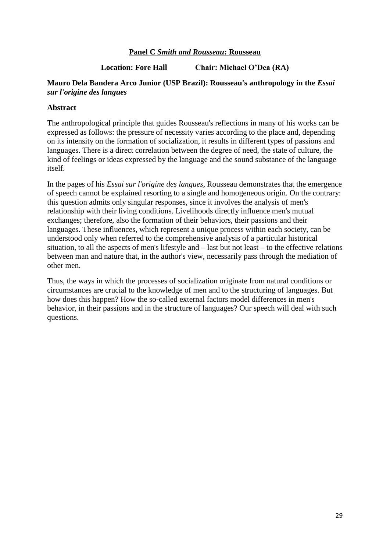#### **Panel C** *Smith and Rousseau***: Rousseau**

**Location: Fore Hall Chair: Michael O'Dea (RA)**

# **Mauro Dela Bandera Arco Junior (USP Brazil): Rousseau's anthropology in the** *Essai sur l'origine des langues*

### **Abstract**

The anthropological principle that guides Rousseau's reflections in many of his works can be expressed as follows: the pressure of necessity varies according to the place and, depending on its intensity on the formation of socialization, it results in different types of passions and languages. There is a direct correlation between the degree of need, the state of culture, the kind of feelings or ideas expressed by the language and the sound substance of the language itself.

In the pages of his *Essai sur l'origine des langues,* Rousseau demonstrates that the emergence of speech cannot be explained resorting to a single and homogeneous origin. On the contrary: this question admits only singular responses, since it involves the analysis of men's relationship with their living conditions. Livelihoods directly influence men's mutual exchanges; therefore, also the formation of their behaviors, their passions and their languages. These influences, which represent a unique process within each society, can be understood only when referred to the comprehensive analysis of a particular historical situation, to all the aspects of men's lifestyle and – last but not least – to the effective relations between man and nature that, in the author's view, necessarily pass through the mediation of other men.

Thus, the ways in which the processes of socialization originate from natural conditions or circumstances are crucial to the knowledge of men and to the structuring of languages. But how does this happen? How the so-called external factors model differences in men's behavior, in their passions and in the structure of languages? Our speech will deal with such questions.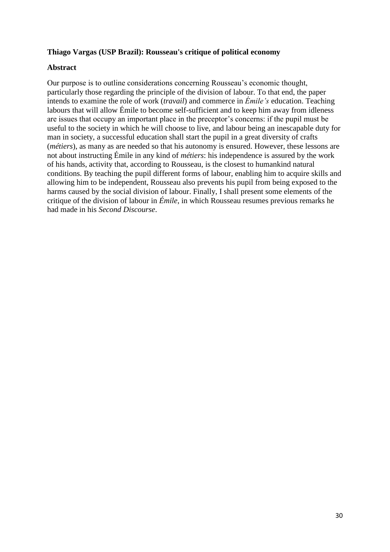### **Thiago Vargas (USP Brazil): Rousseau's critique of political economy**

### **Abstract**

Our purpose is to outline considerations concerning Rousseau's economic thought, particularly those regarding the principle of the division of labour. To that end, the paper intends to examine the role of work (*travail*) and commerce in *Émile's* education. Teaching labours that will allow Émile to become self-sufficient and to keep him away from idleness are issues that occupy an important place in the preceptor's concerns: if the pupil must be useful to the society in which he will choose to live, and labour being an inescapable duty for man in society, a successful education shall start the pupil in a great diversity of crafts (*métiers*), as many as are needed so that his autonomy is ensured. However, these lessons are not about instructing Émile in any kind of *métiers*: his independence is assured by the work of his hands, activity that, according to Rousseau, is the closest to humankind natural conditions. By teaching the pupil different forms of labour, enabling him to acquire skills and allowing him to be independent, Rousseau also prevents his pupil from being exposed to the harms caused by the social division of labour. Finally, I shall present some elements of the critique of the division of labour in *Émile*, in which Rousseau resumes previous remarks he had made in his *Second Discourse*.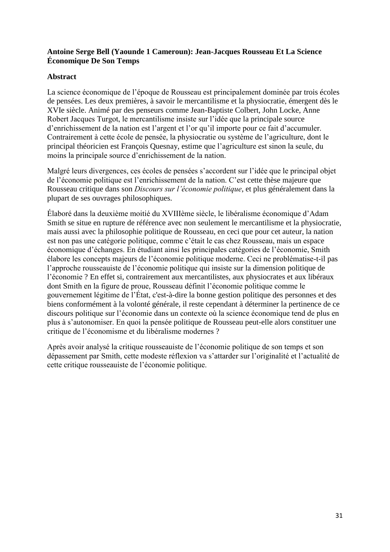# **Antoine Serge Bell (Yaounde 1 Cameroun): Jean-Jacques Rousseau Et La Science Économique De Son Temps**

### **Abstract**

La science économique de l'époque de Rousseau est principalement dominée par trois écoles de pensées. Les deux premières, à savoir le mercantilisme et la physiocratie, émergent dès le XVIe siècle. Animé par des penseurs comme Jean-Baptiste Colbert, John Locke, Anne Robert Jacques Turgot, le mercantilisme insiste sur l'idée que la principale source d'enrichissement de la nation est l'argent et l'or qu'il importe pour ce fait d'accumuler. Contrairement à cette école de pensée, la physiocratie ou système de l'agriculture, dont le principal théoricien est François Quesnay, estime que l'agriculture est sinon la seule, du moins la principale source d'enrichissement de la nation.

Malgré leurs divergences, ces écoles de pensées s'accordent sur l'idée que le principal objet de l'économie politique est l'enrichissement de la nation. C'est cette thèse majeure que Rousseau critique dans son *Discours sur l'économie politique*, et plus généralement dans la plupart de ses ouvrages philosophiques.

Élaboré dans la deuxième moitié du XVIIIème siècle, le libéralisme économique d'Adam Smith se situe en rupture de référence avec non seulement le mercantilisme et la physiocratie, mais aussi avec la philosophie politique de Rousseau, en ceci que pour cet auteur, la nation est non pas une catégorie politique, comme c'était le cas chez Rousseau, mais un espace économique d'échanges. En étudiant ainsi les principales catégories de l'économie, Smith élabore les concepts majeurs de l'économie politique moderne. Ceci ne problématise-t-il pas l'approche rousseauiste de l'économie politique qui insiste sur la dimension politique de l'économie ? En effet si, contrairement aux mercantilistes, aux physiocrates et aux libéraux dont Smith en la figure de proue, Rousseau définit l'économie politique comme le gouvernement légitime de l'État, c'est-à-dire la bonne gestion politique des personnes et des biens conformément à la volonté générale, il reste cependant à déterminer la pertinence de ce discours politique sur l'économie dans un contexte où la science économique tend de plus en plus à s'autonomiser. En quoi la pensée politique de Rousseau peut-elle alors constituer une critique de l'économisme et du libéralisme modernes ?

Après avoir analysé la critique rousseauiste de l'économie politique de son temps et son dépassement par Smith, cette modeste réflexion va s'attarder sur l'originalité et l'actualité de cette critique rousseauiste de l'économie politique.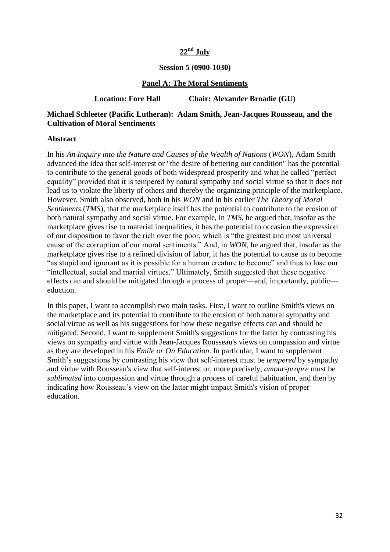# **22nd July**

#### **Session 5 (0900-1030)**

### **Panel A: The Moral Sentiments**

**Location: Fore Hall Chair: Alexander Broadie (GU)**

#### **Michael Schleeter (Pacific Lutheran): Adam Smith, Jean-Jacques Rousseau, and the Cultivation of Moral Sentiments**

#### **Abstract**

In his *An Inquiry into the Nature and Causes of the Wealth of Nations* (*WON*), Adam Smith advanced the idea that self-interest or "the desire of bettering our condition" has the potential to contribute to the general goods of both widespread prosperity and what he called "perfect equality" provided that it is tempered by natural sympathy and social virtue so that it does not lead us to violate the liberty of others and thereby the organizing principle of the marketplace. However, Smith also observed, both in his *WON* and in his earlier *The Theory of Moral Sentiments* (*TMS*), that the marketplace itself has the potential to contribute to the erosion of both natural sympathy and social virtue. For example, in *TMS*, he argued that, insofar as the marketplace gives rise to material inequalities, it has the potential to occasion the expression of our disposition to favor the rich over the poor, which is "the greatest and most universal cause of the corruption of our moral sentiments." And, in *WON*, he argued that, insofar as the marketplace gives rise to a refined division of labor, it has the potential to cause us to become "as stupid and ignorant as it is possible for a human creature to become" and thus to lose our "intellectual, social and martial virtues." Ultimately, Smith suggested that these negative effects can and should be mitigated through a process of proper—and, importantly, public eduction.

In this paper, I want to accomplish two main tasks. First, I want to outline Smith's views on the marketplace and its potential to contribute to the erosion of both natural sympathy and social virtue as well as his suggestions for how these negative effects can and should be mitigated. Second, I want to supplement Smith's suggestions for the latter by contrasting his views on sympathy and virtue with Jean-Jacques Rousseau's views on compassion and virtue as they are developed in his *Emile or On Education*. In particular, I want to supplement Smith's suggestions by contrasting his view that self-interest must be *tempered* by sympathy and virtue with Rousseau's view that self-interest or, more precisely, *amour-propre* must be *sublimated* into compassion and virtue through a process of careful habituation, and then by indicating how Rousseau's view on the latter might impact Smith's vision of proper education.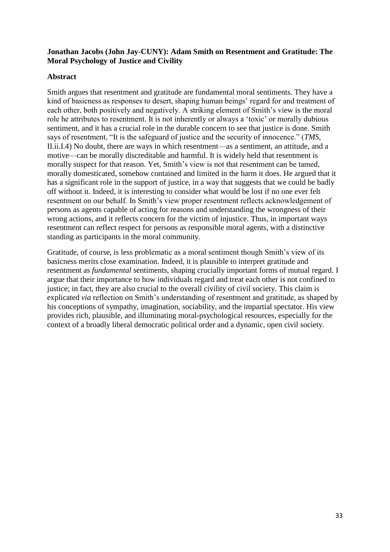# **Jonathan Jacobs (John Jay-CUNY): Adam Smith on Resentment and Gratitude: The Moral Psychology of Justice and Civility**

### **Abstract**

Smith argues that resentment and gratitude are fundamental moral sentiments. They have a kind of basicness as responses to desert, shaping human beings' regard for and treatment of each other, both positively and negatively. A striking element of Smith's view is the moral role he attributes to resentment. It is not inherently or always a 'toxic' or morally dubious sentiment, and it has a crucial role in the durable concern to see that justice is done. Smith says of resentment, "It is the safeguard of justice and the security of innocence." (*TMS*, II.ii.I.4) No doubt, there are ways in which resentment—as a sentiment, an attitude, and a motive—can be morally discreditable and harmful. It is widely held that resentment is morally suspect for that reason. Yet, Smith's view is not that resentment can be tamed, morally domesticated, somehow contained and limited in the harm it does. He argued that it has a significant role in the support of justice, in a way that suggests that we could be badly off without it. Indeed, it is interesting to consider what would be lost if no one ever felt resentment on our behalf. In Smith's view proper resentment reflects acknowledgement of persons as agents capable of acting for reasons and understanding the wrongness of their wrong actions, and it reflects concern for the victim of injustice. Thus, in important ways resentment can reflect respect for persons as responsible moral agents, with a distinctive standing as participants in the moral community.

Gratitude, of course, is less problematic as a moral sentiment though Smith's view of its basicness merits close examination. Indeed, it is plausible to interpret gratitude and resentment as *fundamental* sentiments, shaping crucially important forms of mutual regard. I argue that their importance to how individuals regard and treat each other is not confined to justice; in fact, they are also crucial to the overall civility of civil society. This claim is explicated *via* reflection on Smith's understanding of resentment and gratitude, as shaped by his conceptions of sympathy, imagination, sociability, and the impartial spectator. His view provides rich, plausible, and illuminating moral-psychological resources, especially for the context of a broadly liberal democratic political order and a dynamic, open civil society.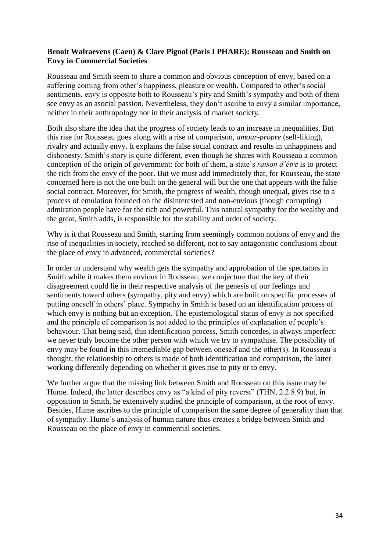### **Benoit Walraevens (Caen) & Clare Pignol (Paris I PHARE): Rousseau and Smith on Envy in Commercial Societies**

Rousseau and Smith seem to share a common and obvious conception of envy, based on a suffering coming from other's happiness, pleasure or wealth. Compared to other's social sentiments, envy is opposite both to Rousseau's pity and Smith's sympathy and both of them see envy as an asocial passion. Nevertheless, they don't ascribe to envy a similar importance, neither in their anthropology nor in their analysis of market society.

Both also share the idea that the progress of society leads to an increase in inequalities. But this rise for Rousseau goes along with a rise of comparison, *amour-propre* (self-liking), rivalry and actually envy. It explains the false social contract and results in unhappiness and dishonesty. Smith's story is quite different, even though he shares with Rousseau a common conception of the origin of government: for both of them, a state's *raison d'être* is to protect the rich from the envy of the poor. But we must add immediately that, for Rousseau, the state concerned here is not the one built on the general will but the one that appears with the false social contract. Moreover, for Smith, the progress of wealth, though unequal, gives rise to a process of emulation founded on the disinterested and non-envious (though corrupting) admiration people have for the rich and powerful. This natural sympathy for the wealthy and the great, Smith adds, is responsible for the stability and order of society.

Why is it that Rousseau and Smith, starting from seemingly common notions of envy and the rise of inequalities in society, reached so different, not to say antagonistic conclusions about the place of envy in advanced, commercial societies?

In order to understand why wealth gets the sympathy and approbation of the spectators in Smith while it makes them envious in Rousseau, we conjecture that the key of their disagreement could lie in their respective analysis of the genesis of our feelings and sentiments toward others (sympathy, pity and envy) which are built on specific processes of putting oneself in others' place. Sympathy in Smith is based on an identification process of which envy is nothing but an exception. The epistemological status of envy is not specified and the principle of comparison is not added to the principles of explanation of people's behaviour. That being said, this identification process, Smith concedes, is always imperfect: we never truly become the other person with which we try to sympathise. The possibility of envy may be found in this irremediable gap between oneself and the other(s). In Rousseau's thought, the relationship to others is made of both identification and comparison, the latter working differently depending on whether it gives rise to pity or to envy.

We further argue that the missing link between Smith and Rousseau on this issue may be Hume. Indeed, the latter describes envy as "a kind of pity reverst" (THN, 2.2.8.9) but, in opposition to Smith, he extensively studied the principle of comparison, at the root of envy. Besides, Hume ascribes to the principle of comparison the same degree of generality than that of sympathy. Hume's analysis of human nature thus creates a bridge between Smith and Rousseau on the place of envy in commercial societies.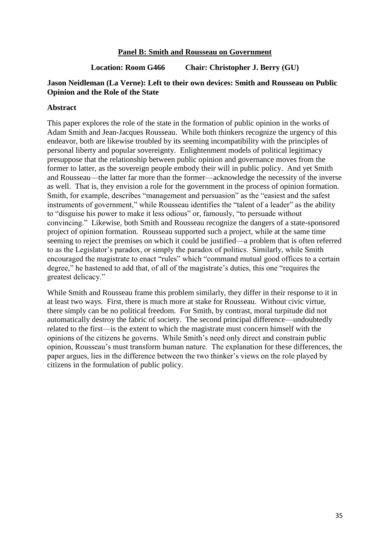#### **Panel B: Smith and Rousseau on Government**

#### **Location: Room G466 Chair: Christopher J. Berry (GU)**

# **Jason Neidleman (La Verne): Left to their own devices: Smith and Rousseau on Public Opinion and the Role of the State**

### **Abstract**

This paper explores the role of the state in the formation of public opinion in the works of Adam Smith and Jean-Jacques Rousseau. While both thinkers recognize the urgency of this endeavor, both are likewise troubled by its seeming incompatibility with the principles of personal liberty and popular sovereignty. Enlightenment models of political legitimacy presuppose that the relationship between public opinion and governance moves from the former to latter, as the sovereign people embody their will in public policy. And yet Smith and Rousseau—the latter far more than the former—acknowledge the necessity of the inverse as well. That is, they envision a role for the government in the process of opinion formation. Smith, for example, describes "management and persuasion" as the "easiest and the safest instruments of government," while Rousseau identifies the "talent of a leader" as the ability to "disguise his power to make it less odious" or, famously, "to persuade without convincing."Likewise, both Smith and Rousseau recognize the dangers of a state-sponsored project of opinion formation. Rousseau supported such a project, while at the same time seeming to reject the premises on which it could be justified—a problem that is often referred to as the Legislator's paradox, or simply the paradox of politics. Similarly, while Smith encouraged the magistrate to enact "rules" which "command mutual good offices to a certain degree," he hastened to add that, of all of the magistrate's duties, this one "requires the greatest delicacy."

While Smith and Rousseau frame this problem similarly, they differ in their response to it in at least two ways. First, there is much more at stake for Rousseau. Without civic virtue, there simply can be no political freedom. For Smith, by contrast, moral turpitude did not automatically destroy the fabric of society. The second principal difference—undoubtedly related to the first—is the extent to which the magistrate must concern himself with the opinions of the citizens he governs. While Smith's need only direct and constrain public opinion, Rousseau's must transform human nature. The explanation for these differences, the paper argues, lies in the difference between the two thinker's views on the role played by citizens in the formulation of public policy.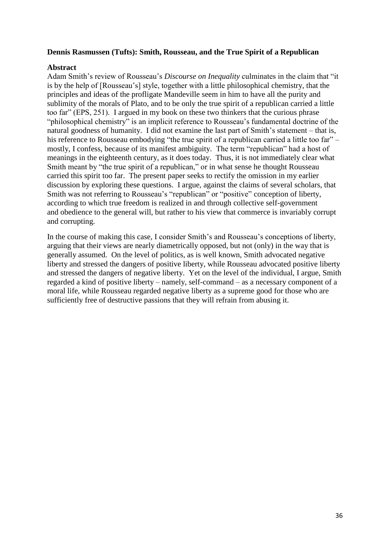#### **Dennis Rasmussen (Tufts): Smith, Rousseau, and the True Spirit of a Republican**

#### **Abstract**

Adam Smith's review of Rousseau's *Discourse on Inequality* culminates in the claim that "it is by the help of [Rousseau's] style, together with a little philosophical chemistry, that the principles and ideas of the profligate Mandeville seem in him to have all the purity and sublimity of the morals of Plato, and to be only the true spirit of a republican carried a little too far" (EPS, 251). I argued in my book on these two thinkers that the curious phrase "philosophical chemistry" is an implicit reference to Rousseau's fundamental doctrine of the natural goodness of humanity. I did not examine the last part of Smith's statement – that is, his reference to Rousseau embodying "the true spirit of a republican carried a little too far" – mostly, I confess, because of its manifest ambiguity. The term "republican" had a host of meanings in the eighteenth century, as it does today. Thus, it is not immediately clear what Smith meant by "the true spirit of a republican," or in what sense he thought Rousseau carried this spirit too far. The present paper seeks to rectify the omission in my earlier discussion by exploring these questions. I argue, against the claims of several scholars, that Smith was not referring to Rousseau's "republican" or "positive" conception of liberty, according to which true freedom is realized in and through collective self-government and obedience to the general will, but rather to his view that commerce is invariably corrupt and corrupting.

In the course of making this case, I consider Smith's and Rousseau's conceptions of liberty, arguing that their views are nearly diametrically opposed, but not (only) in the way that is generally assumed. On the level of politics, as is well known, Smith advocated negative liberty and stressed the dangers of positive liberty, while Rousseau advocated positive liberty and stressed the dangers of negative liberty. Yet on the level of the individual, I argue, Smith regarded a kind of positive liberty – namely, self-command – as a necessary component of a moral life, while Rousseau regarded negative liberty as a supreme good for those who are sufficiently free of destructive passions that they will refrain from abusing it.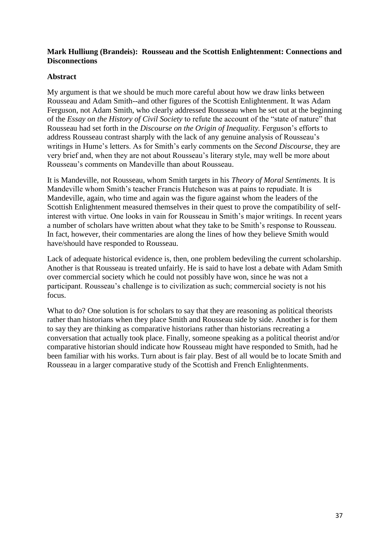### **Mark Hulliung (Brandeis): Rousseau and the Scottish Enlightenment: Connections and Disconnections**

#### **Abstract**

My argument is that we should be much more careful about how we draw links between Rousseau and Adam Smith--and other figures of the Scottish Enlightenment. It was Adam Ferguson, not Adam Smith, who clearly addressed Rousseau when he set out at the beginning of the *Essay on the History of Civil Society* to refute the account of the "state of nature" that Rousseau had set forth in the *Discourse on the Origin of Inequality.* Ferguson's efforts to address Rousseau contrast sharply with the lack of any genuine analysis of Rousseau's writings in Hume's letters. As for Smith's early comments on the *Second Discourse,* they are very brief and, when they are not about Rousseau's literary style, may well be more about Rousseau's comments on Mandeville than about Rousseau.

It is Mandeville, not Rousseau, whom Smith targets in his *Theory of Moral Sentiments.* It is Mandeville whom Smith's teacher Francis Hutcheson was at pains to repudiate. It is Mandeville, again, who time and again was the figure against whom the leaders of the Scottish Enlightenment measured themselves in their quest to prove the compatibility of selfinterest with virtue. One looks in vain for Rousseau in Smith's major writings. In recent years a number of scholars have written about what they take to be Smith's response to Rousseau. In fact, however, their commentaries are along the lines of how they believe Smith would have/should have responded to Rousseau.

Lack of adequate historical evidence is, then, one problem bedeviling the current scholarship. Another is that Rousseau is treated unfairly. He is said to have lost a debate with Adam Smith over commercial society which he could not possibly have won, since he was not a participant. Rousseau's challenge is to civilization as such; commercial society is not his focus.

What to do? One solution is for scholars to say that they are reasoning as political theorists rather than historians when they place Smith and Rousseau side by side. Another is for them to say they are thinking as comparative historians rather than historians recreating a conversation that actually took place. Finally, someone speaking as a political theorist and/or comparative historian should indicate how Rousseau might have responded to Smith, had he been familiar with his works. Turn about is fair play. Best of all would be to locate Smith and Rousseau in a larger comparative study of the Scottish and French Enlightenments.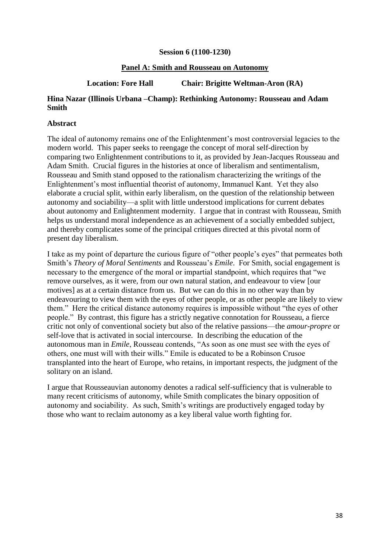### **Session 6 (1100-1230)**

### **Panel A: Smith and Rousseau on Autonomy**

# **Location: Fore Hall Chair: Brigitte Weltman-Aron (RA)**

# **Hina Nazar (Illinois Urbana –Champ): Rethinking Autonomy: Rousseau and Adam Smith**

### **Abstract**

The ideal of autonomy remains one of the Enlightenment's most controversial legacies to the modern world. This paper seeks to reengage the concept of moral self-direction by comparing two Enlightenment contributions to it, as provided by Jean-Jacques Rousseau and Adam Smith. Crucial figures in the histories at once of liberalism and sentimentalism, Rousseau and Smith stand opposed to the rationalism characterizing the writings of the Enlightenment's most influential theorist of autonomy, Immanuel Kant. Yet they also elaborate a crucial split, within early liberalism, on the question of the relationship between autonomy and sociability—a split with little understood implications for current debates about autonomy and Enlightenment modernity. I argue that in contrast with Rousseau, Smith helps us understand moral independence as an achievement of a socially embedded subject, and thereby complicates some of the principal critiques directed at this pivotal norm of present day liberalism.

I take as my point of departure the curious figure of "other people's eyes" that permeates both Smith's *Theory of Moral Sentiments* and Rousseau's *Emile*. For Smith, social engagement is necessary to the emergence of the moral or impartial standpoint, which requires that "we remove ourselves, as it were, from our own natural station, and endeavour to view [our motives] as at a certain distance from us. But we can do this in no other way than by endeavouring to view them with the eyes of other people, or as other people are likely to view them." Here the critical distance autonomy requires is impossible without "the eyes of other people." By contrast, this figure has a strictly negative connotation for Rousseau, a fierce critic not only of conventional society but also of the relative passions—the *amour-propre* or self-love that is activated in social intercourse. In describing the education of the autonomous man in *Emile*, Rousseau contends, "As soon as one must see with the eyes of others, one must will with their wills." Emile is educated to be a Robinson Crusoe transplanted into the heart of Europe, who retains, in important respects, the judgment of the solitary on an island.

I argue that Rousseauvian autonomy denotes a radical self-sufficiency that is vulnerable to many recent criticisms of autonomy, while Smith complicates the binary opposition of autonomy and sociability. As such, Smith's writings are productively engaged today by those who want to reclaim autonomy as a key liberal value worth fighting for.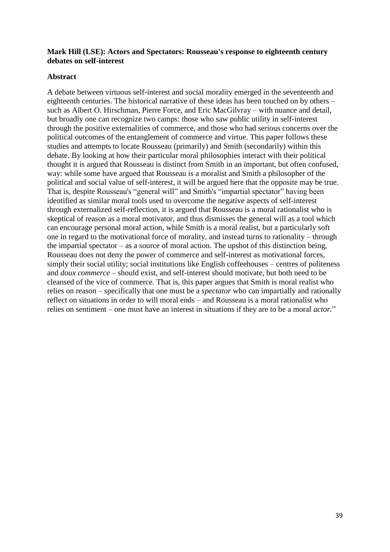### **Mark Hill (LSE): Actors and Spectators: Rousseau's response to eighteenth century debates on self-interest**

#### **Abstract**

A debate between virtuous self-interest and social morality emerged in the seventeenth and eighteenth centuries. The historical narrative of these ideas has been touched on by others – such as Albert O. Hirschman, Pierre Force, and Eric MacGilvray – with nuance and detail, but broadly one can recognize two camps: those who saw public utility in self-interest through the positive externalities of commerce, and those who had serious concerns over the political outcomes of the entanglement of commerce and virtue. This paper follows these studies and attempts to locate Rousseau (primarily) and Smith (secondarily) within this debate. By looking at how their particular moral philosophies interact with their political thought it is argued that Rousseau is distinct from Smith in an important, but often confused, way: while some have argued that Rousseau is a moralist and Smith a philosopher of the political and social value of self-interest, it will be argued here that the opposite may be true. That is, despite Rousseau's "general will" and Smith's "impartial spectator" having been identified as similar moral tools used to overcome the negative aspects of self-interest through externalized self-reflection, it is argued that Rousseau is a moral rationalist who is skeptical of reason as a moral motivator, and thus dismisses the general will as a tool which can encourage personal moral action, while Smith is a moral realist, but a particularly soft one in regard to the motivational force of morality, and instead turns to rationality – through the impartial spectator – as a source of moral action. The upshot of this distinction being, Rousseau does not deny the power of commerce and self-interest as motivational forces, simply their social utility; social institutions like English coffeehouses – centres of politeness and *doux commerce* – should exist, and self-interest should motivate, but both need to be cleansed of the vice of commerce. That is, this paper argues that Smith is moral realist who relies on reason – specifically that one must be a *spectator* who can impartially and rationally reflect on situations in order to will moral ends – and Rousseau is a moral rationalist who relies on sentiment – one must have an interest in situations if they are to be a moral *actor*."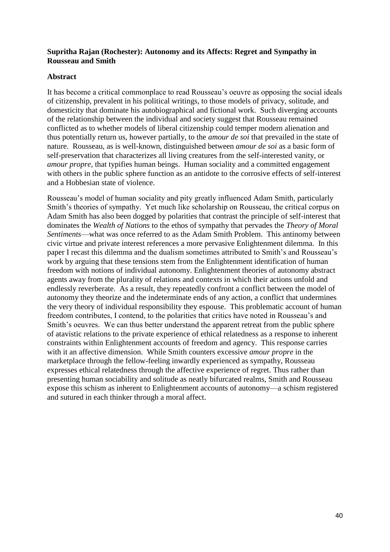### **Supritha Rajan (Rochester): Autonomy and its Affects: Regret and Sympathy in Rousseau and Smith**

### **Abstract**

It has become a critical commonplace to read Rousseau's oeuvre as opposing the social ideals of citizenship, prevalent in his political writings, to those models of privacy, solitude, and domesticity that dominate his autobiographical and fictional work. Such diverging accounts of the relationship between the individual and society suggest that Rousseau remained conflicted as to whether models of liberal citizenship could temper modern alienation and thus potentially return us, however partially, to the *amour de soi* that prevailed in the state of nature. Rousseau, as is well-known, distinguished between *amour de soi* as a basic form of self-preservation that characterizes all living creatures from the self-interested vanity, or *amour propre*, that typifies human beings. Human sociality and a committed engagement with others in the public sphere function as an antidote to the corrosive effects of self-interest and a Hobbesian state of violence.

Rousseau's model of human sociality and pity greatly influenced Adam Smith, particularly Smith's theories of sympathy. Yet much like scholarship on Rousseau, the critical corpus on Adam Smith has also been dogged by polarities that contrast the principle of self-interest that dominates the *Wealth of Nations* to the ethos of sympathy that pervades the *Theory of Moral Sentiments*—what was once referred to as the Adam Smith Problem. This antinomy between civic virtue and private interest references a more pervasive Enlightenment dilemma. In this paper I recast this dilemma and the dualism sometimes attributed to Smith's and Rousseau's work by arguing that these tensions stem from the Enlightenment identification of human freedom with notions of individual autonomy. Enlightenment theories of autonomy abstract agents away from the plurality of relations and contexts in which their actions unfold and endlessly reverberate. As a result, they repeatedly confront a conflict between the model of autonomy they theorize and the indeterminate ends of any action, a conflict that undermines the very theory of individual responsibility they espouse. This problematic account of human freedom contributes, I contend, to the polarities that critics have noted in Rousseau's and Smith's oeuvres. We can thus better understand the apparent retreat from the public sphere of atavistic relations to the private experience of ethical relatedness as a response to inherent constraints within Enlightenment accounts of freedom and agency. This response carries with it an affective dimension. While Smith counters excessive *amour propre* in the marketplace through the fellow-feeling inwardly experienced as sympathy, Rousseau expresses ethical relatedness through the affective experience of regret. Thus rather than presenting human sociability and solitude as neatly bifurcated realms, Smith and Rousseau expose this schism as inherent to Enlightenment accounts of autonomy—a schism registered and sutured in each thinker through a moral affect.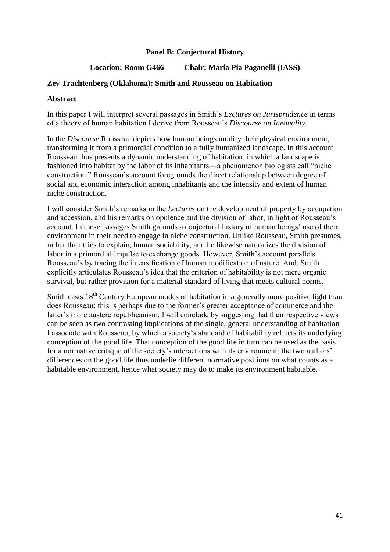# **Panel B: Conjectural History**

### **Location: Room G466 Chair: Maria Pia Paganelli (IASS)**

# **Zev Trachtenberg (Oklahoma): Smith and Rousseau on Habitation**

### **Abstract**

In this paper I will interpret several passages in Smith's *Lectures on Jurisprudence* in terms of a theory of human habitation I derive from Rousseau's *Discourse on Inequality*.

In the *Discourse* Rousseau depicts how human beings modify their physical environment, transforming it from a primordial condition to a fully humanized landscape. In this account Rousseau thus presents a dynamic understanding of habitation, in which a landscape is fashioned into habitat by the labor of its inhabitants—a phenomenon biologists call "niche construction." Rousseau's account foregrounds the direct relationship between degree of social and economic interaction among inhabitants and the intensity and extent of human niche construction.

I will consider Smith's remarks in the *Lectures* on the development of property by occupation and accession, and his remarks on opulence and the division of labor, in light of Rousseau's account. In these passages Smith grounds a conjectural history of human beings' use of their environment in their need to engage in niche construction. Unlike Rousseau, Smith presumes, rather than tries to explain, human sociability, and he likewise naturalizes the division of labor in a primordial impulse to exchange goods. However, Smith's account parallels Rousseau's by tracing the intensification of human modification of nature. And, Smith explicitly articulates Rousseau's idea that the criterion of habitability is not mere organic survival, but rather provision for a material standard of living that meets cultural norms.

Smith casts  $18<sup>th</sup>$  Century European modes of habitation in a generally more positive light than does Rousseau; this is perhaps due to the former's greater acceptance of commerce and the latter's more austere republicanism. I will conclude by suggesting that their respective views can be seen as two contrasting implications of the single, general understanding of habitation I associate with Rousseau, by which a society's standard of habitability reflects its underlying conception of the good life. That conception of the good life in turn can be used as the basis for a normative critique of the society's interactions with its environment; the two authors' differences on the good life thus underlie different normative positions on what counts as a habitable environment, hence what society may do to make its environment habitable.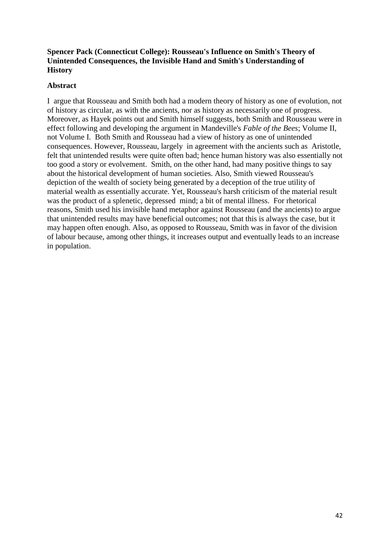### **Spencer Pack (Connecticut College): Rousseau's Influence on Smith's Theory of Unintended Consequences, the Invisible Hand and Smith's Understanding of History**

### **Abstract**

I argue that Rousseau and Smith both had a modern theory of history as one of evolution, not of history as circular, as with the ancients, nor as history as necessarily one of progress. Moreover, as Hayek points out and Smith himself suggests, both Smith and Rousseau were in effect following and developing the argument in Mandeville's *Fable of the Bees*; Volume II, not Volume I. Both Smith and Rousseau had a view of history as one of unintended consequences. However, Rousseau, largely in agreement with the ancients such as Aristotle, felt that unintended results were quite often bad; hence human history was also essentially not too good a story or evolvement. Smith, on the other hand, had many positive things to say about the historical development of human societies. Also, Smith viewed Rousseau's depiction of the wealth of society being generated by a deception of the true utility of material wealth as essentially accurate. Yet, Rousseau's harsh criticism of the material result was the product of a splenetic, depressed mind; a bit of mental illness. For rhetorical reasons, Smith used his invisible hand metaphor against Rousseau (and the ancients) to argue that unintended results may have beneficial outcomes; not that this is always the case, but it may happen often enough. Also, as opposed to Rousseau, Smith was in favor of the division of labour because, among other things, it increases output and eventually leads to an increase in population.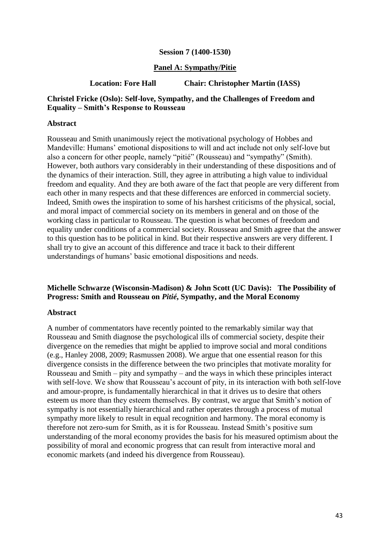### **Session 7 (1400-1530)**

#### **Panel A: Sympathy/Pitie**

**Location: Fore Hall Chair: Christopher Martin (IASS)**

# **Christel Fricke (Oslo): Self-love, Sympathy, and the Challenges of Freedom and Equality – Smith's Response to Rousseau**

#### **Abstract**

Rousseau and Smith unanimously reject the motivational psychology of Hobbes and Mandeville: Humans' emotional dispositions to will and act include not only self-love but also a concern for other people, namely "pitié" (Rousseau) and "sympathy" (Smith). However, both authors vary considerably in their understanding of these dispositions and of the dynamics of their interaction. Still, they agree in attributing a high value to individual freedom and equality. And they are both aware of the fact that people are very different from each other in many respects and that these differences are enforced in commercial society. Indeed, Smith owes the inspiration to some of his harshest criticisms of the physical, social, and moral impact of commercial society on its members in general and on those of the working class in particular to Rousseau. The question is what becomes of freedom and equality under conditions of a commercial society. Rousseau and Smith agree that the answer to this question has to be political in kind. But their respective answers are very different. I shall try to give an account of this difference and trace it back to their different understandings of humans' basic emotional dispositions and needs.

# **Michelle Schwarze (Wisconsin-Madison) & John Scott (UC Davis): The Possibility of Progress: Smith and Rousseau on** *Pitié***, Sympathy, and the Moral Economy**

#### **Abstract**

A number of commentators have recently pointed to the remarkably similar way that Rousseau and Smith diagnose the psychological ills of commercial society, despite their divergence on the remedies that might be applied to improve social and moral conditions (e.g., Hanley 2008, 2009; Rasmussen 2008). We argue that one essential reason for this divergence consists in the difference between the two principles that motivate morality for Rousseau and Smith – pity and sympathy – and the ways in which these principles interact with self-love. We show that Rousseau's account of pity, in its interaction with both self-love and amour-propre, is fundamentally hierarchical in that it drives us to desire that others esteem us more than they esteem themselves. By contrast, we argue that Smith's notion of sympathy is not essentially hierarchical and rather operates through a process of mutual sympathy more likely to result in equal recognition and harmony. The moral economy is therefore not zero-sum for Smith, as it is for Rousseau. Instead Smith's positive sum understanding of the moral economy provides the basis for his measured optimism about the possibility of moral and economic progress that can result from interactive moral and economic markets (and indeed his divergence from Rousseau).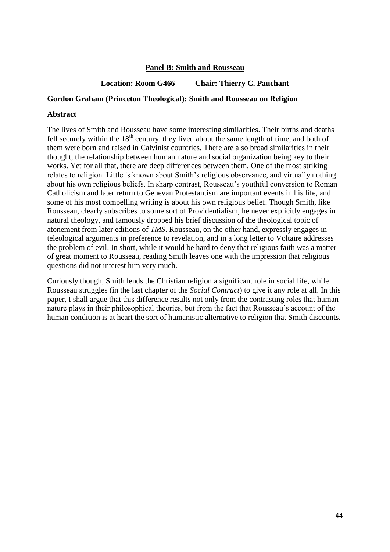# **Panel B: Smith and Rousseau**

**Location: Room G466 Chair: Thierry C. Pauchant**

### **Gordon Graham (Princeton Theological): Smith and Rousseau on Religion**

### **Abstract**

The lives of Smith and Rousseau have some interesting similarities. Their births and deaths fell securely within the  $18<sup>th</sup>$  century, they lived about the same length of time, and both of them were born and raised in Calvinist countries. There are also broad similarities in their thought, the relationship between human nature and social organization being key to their works. Yet for all that, there are deep differences between them. One of the most striking relates to religion. Little is known about Smith's religious observance, and virtually nothing about his own religious beliefs. In sharp contrast, Rousseau's youthful conversion to Roman Catholicism and later return to Genevan Protestantism are important events in his life, and some of his most compelling writing is about his own religious belief. Though Smith, like Rousseau, clearly subscribes to some sort of Providentialism, he never explicitly engages in natural theology, and famously dropped his brief discussion of the theological topic of atonement from later editions of *TMS*. Rousseau, on the other hand, expressly engages in teleological arguments in preference to revelation, and in a long letter to Voltaire addresses the problem of evil. In short, while it would be hard to deny that religious faith was a matter of great moment to Rousseau, reading Smith leaves one with the impression that religious questions did not interest him very much.

Curiously though, Smith lends the Christian religion a significant role in social life, while Rousseau struggles (in the last chapter of the *Social Contract*) to give it any role at all. In this paper, I shall argue that this difference results not only from the contrasting roles that human nature plays in their philosophical theories, but from the fact that Rousseau's account of the human condition is at heart the sort of humanistic alternative to religion that Smith discounts.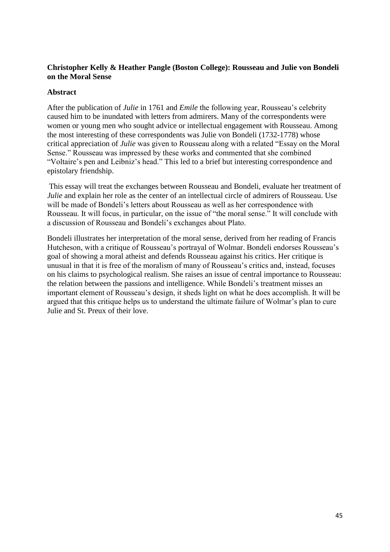# **Christopher Kelly & Heather Pangle (Boston College): Rousseau and Julie von Bondeli on the Moral Sense**

# **Abstract**

After the publication of *Julie* in 1761 and *Emile* the following year, Rousseau's celebrity caused him to be inundated with letters from admirers. Many of the correspondents were women or young men who sought advice or intellectual engagement with Rousseau. Among the most interesting of these correspondents was Julie von Bondeli (1732-1778) whose critical appreciation of *Julie* was given to Rousseau along with a related "Essay on the Moral Sense." Rousseau was impressed by these works and commented that she combined "Voltaire's pen and Leibniz's head." This led to a brief but interesting correspondence and epistolary friendship.

This essay will treat the exchanges between Rousseau and Bondeli, evaluate her treatment of *Julie* and explain her role as the center of an intellectual circle of admirers of Rousseau. Use will be made of Bondeli's letters about Rousseau as well as her correspondence with Rousseau. It will focus, in particular, on the issue of "the moral sense." It will conclude with a discussion of Rousseau and Bondeli's exchanges about Plato.

Bondeli illustrates her interpretation of the moral sense, derived from her reading of Francis Hutcheson, with a critique of Rousseau's portrayal of Wolmar. Bondeli endorses Rousseau's goal of showing a moral atheist and defends Rousseau against his critics. Her critique is unusual in that it is free of the moralism of many of Rousseau's critics and, instead, focuses on his claims to psychological realism. She raises an issue of central importance to Rousseau: the relation between the passions and intelligence. While Bondeli's treatment misses an important element of Rousseau's design, it sheds light on what he does accomplish. It will be argued that this critique helps us to understand the ultimate failure of Wolmar's plan to cure Julie and St. Preux of their love.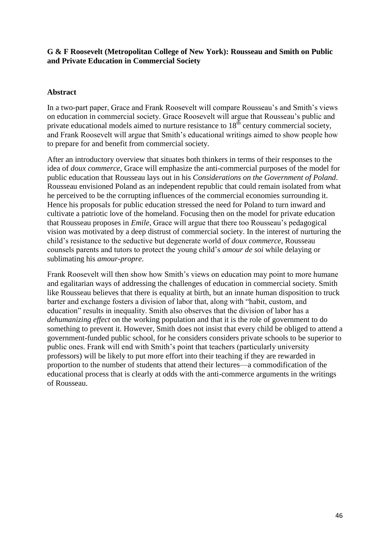### **G & F Roosevelt (Metropolitan College of New York): Rousseau and Smith on Public and Private Education in Commercial Society**

# **Abstract**

In a two-part paper, Grace and Frank Roosevelt will compare Rousseau's and Smith's views on education in commercial society. Grace Roosevelt will argue that Rousseau's public and private educational models aimed to nurture resistance to  $18<sup>th</sup>$  century commercial society, and Frank Roosevelt will argue that Smith's educational writings aimed to show people how to prepare for and benefit from commercial society.

After an introductory overview that situates both thinkers in terms of their responses to the idea of *doux commerce*, Grace will emphasize the anti-commercial purposes of the model for public education that Rousseau lays out in his *Considerations on the Government of Poland*. Rousseau envisioned Poland as an independent republic that could remain isolated from what he perceived to be the corrupting influences of the commercial economies surrounding it. Hence his proposals for public education stressed the need for Poland to turn inward and cultivate a patriotic love of the homeland. Focusing then on the model for private education that Rousseau proposes in *Emile*, Grace will argue that there too Rousseau's pedagogical vision was motivated by a deep distrust of commercial society. In the interest of nurturing the child's resistance to the seductive but degenerate world of *doux commerce*, Rousseau counsels parents and tutors to protect the young child's *amour de soi* while delaying or sublimating his *amour-propre*.

Frank Roosevelt will then show how Smith's views on education may point to more humane and egalitarian ways of addressing the challenges of education in commercial society. Smith like Rousseau believes that there is equality at birth, but an innate human disposition to truck barter and exchange fosters a division of labor that, along with "habit, custom, and education" results in inequality. Smith also observes that the division of labor has a *dehumanizing effect* on the working population and that it is the role of government to do something to prevent it. However, Smith does not insist that every child be obliged to attend a government-funded public school, for he considers considers private schools to be superior to public ones. Frank will end with Smith's point that teachers (particularly university professors) will be likely to put more effort into their teaching if they are rewarded in proportion to the number of students that attend their lectures—a commodification of the educational process that is clearly at odds with the anti-commerce arguments in the writings of Rousseau.